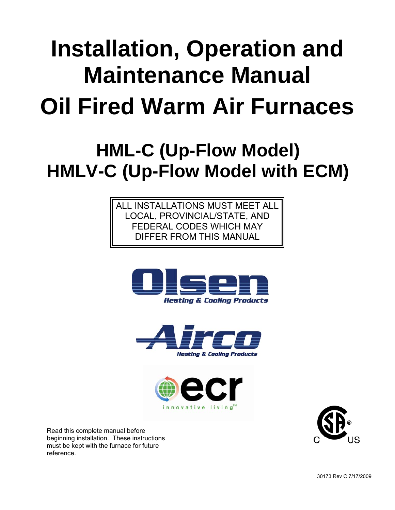# **Installation, Operation and Maintenance Manual Oil Fired Warm Air Furnaces**

# **HML-C (Up-Flow Model) HMLV-C (Up-Flow Model with ECM)**

ALL INSTALLATIONS MUST MEET ALL LOCAL, PROVINCIAL/STATE, AND FEDERAL CODES WHICH MAY DIFFER FROM THIS MANUAL







Read this complete manual before beginning installation. These instructions must be kept with the furnace for future reference.

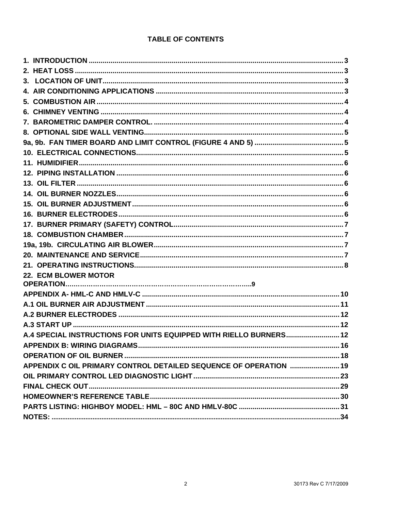#### **TABLE OF CONTENTS**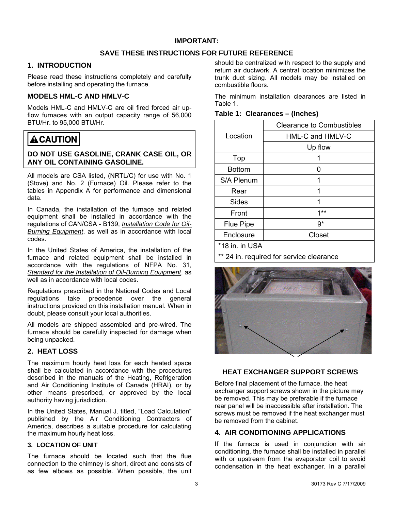#### **SAVE THESE INSTRUCTIONS FOR FUTURE REFERENCE**

#### <span id="page-2-0"></span>**1. INTRODUCTION**

Please read these instructions completely and carefully before installing and operating the furnace.

#### **MODELS HML-C AND HMLV-C**

Models HML-C and HMLV-C are oil fired forced air upflow furnaces with an output capacity range of 56,000 BTU/Hr. to 95,000 BTU/Hr.

# **ACAUTION**

#### **DO NOT USE GASOLINE, CRANK CASE OIL, OR ANY OIL CONTAINING GASOLINE.**

All models are CSA listed, (NRTL/C) for use with No. 1 (Stove) and No. 2 (Furnace) Oil. Please refer to the tables in Appendix A for performance and dimensional data.

In Canada, the installation of the furnace and related equipment shall be installed in accordance with the regulations of CAN/CSA - B139, *Installation Code for Oil-Burning Equipment*, as well as in accordance with local codes.

In the United States of America, the installation of the furnace and related equipment shall be installed in accordance with the regulations of NFPA No. 31, *Standard for the Installation of Oil-Burning Equipment*, as well as in accordance with local codes.

Regulations prescribed in the National Codes and Local regulations take precedence over the general instructions provided on this installation manual. When in doubt, please consult your local authorities.

All models are shipped assembled and pre-wired. The furnace should be carefully inspected for damage when being unpacked.

#### **2. HEAT LOSS**

The maximum hourly heat loss for each heated space shall be calculated in accordance with the procedures described in the manuals of the Heating, Refrigeration and Air Conditioning Institute of Canada (HRAI), or by other means prescribed, or approved by the local authority having jurisdiction.

In the United States, Manual J. titled, "Load Calculation" published by the Air Conditioning Contractors of America, describes a suitable procedure for calculating the maximum hourly heat loss.

#### **3. LOCATION OF UNIT**

The furnace should be located such that the flue connection to the chimney is short, direct and consists of as few elbows as possible. When possible, the unit

should be centralized with respect to the supply and return air ductwork. A central location minimizes the trunk duct sizing. All models may be installed on combustible floors.

The minimum installation clearances are listed in Table 1.

| Table 1: Clearances - (Inches) |
|--------------------------------|
|--------------------------------|

|               | <b>Clearance to Combustibles</b> |
|---------------|----------------------------------|
| Location      | HML-C and HMLV-C                 |
|               | Up flow                          |
| Top           |                                  |
| <b>Bottom</b> | 0                                |
| S/A Plenum    | 1                                |
| Rear          | 1                                |
| Sides         | 1                                |
| Front         | $1**$                            |
| Flue Pipe     | 9*                               |
| Enclosure     | Closet                           |
|               |                                  |

\*18 in. in USA

\*\* 24 in. required for service clearance



#### **HEAT EXCHANGER SUPPORT SCREWS**

Before final placement of the furnace, the heat exchanger support screws shown in the picture may be removed. This may be preferable if the furnace rear panel will be inaccessible after installation. The screws must be removed if the heat exchanger must be removed from the cabinet.

#### **4. AIR CONDITIONING APPLICATIONS**

If the furnace is used in conjunction with air conditioning, the furnace shall be installed in parallel with or upstream from the evaporator coil to avoid condensation in the heat exchanger. In a parallel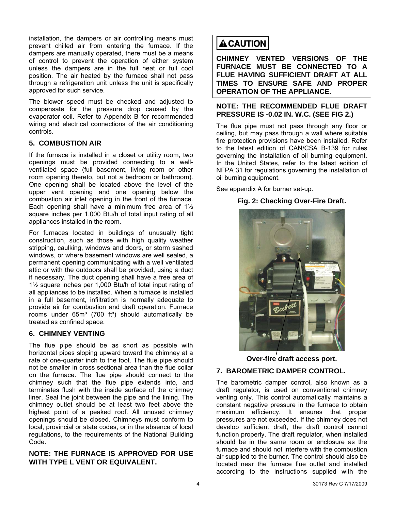<span id="page-3-0"></span>installation, the dampers or air controlling means must prevent chilled air from entering the furnace. If the dampers are manually operated, there must be a means of control to prevent the operation of either system unless the dampers are in the full heat or full cool position. The air heated by the furnace shall not pass through a refrigeration unit unless the unit is specifically approved for such service.

The blower speed must be checked and adjusted to compensate for the pressure drop caused by the evaporator coil. Refer to Appendix B for recommended wiring and electrical connections of the air conditioning controls.

#### **5. COMBUSTION AIR**

If the furnace is installed in a closet or utility room, two openings must be provided connecting to a wellventilated space (full basement, living room or other room opening thereto, but not a bedroom or bathroom). One opening shall be located above the level of the upper vent opening and one opening below the combustion air inlet opening in the front of the furnace. Each opening shall have a minimum free area of  $1\frac{1}{2}$ square inches per 1,000 Btu/h of total input rating of all appliances installed in the room.

For furnaces located in buildings of unusually tight construction, such as those with high quality weather stripping, caulking, windows and doors, or storm sashed windows, or where basement windows are well sealed, a permanent opening communicating with a well ventilated attic or with the outdoors shall be provided, using a duct if necessary. The duct opening shall have a free area of 1½ square inches per 1,000 Btu/h of total input rating of all appliances to be installed. When a furnace is installed in a full basement, infiltration is normally adequate to provide air for combustion and draft operation. Furnace rooms under  $65m<sup>3</sup>$  (700 ft<sup>3</sup>) should automatically be treated as confined space.

#### **6. CHIMNEY VENTING**

The flue pipe should be as short as possible with horizontal pipes sloping upward toward the chimney at a rate of one-quarter inch to the foot. The flue pipe should not be smaller in cross sectional area than the flue collar on the furnace. The flue pipe should connect to the chimney such that the flue pipe extends into, and terminates flush with the inside surface of the chimney liner. Seal the joint between the pipe and the lining. The chimney outlet should be at least two feet above the highest point of a peaked roof. All unused chimney openings should be closed. Chimneys must conform to local, provincial or state codes, or in the absence of local regulations, to the requirements of the National Building Code.

#### **NOTE: THE FURNACE IS APPROVED FOR USE WITH TYPE L VENT OR EQUIVALENT.**

# **ACAUTION**

**CHIMNEY VENTED VERSIONS OF THE FURNACE MUST BE CONNECTED TO A FLUE HAVING SUFFICIENT DRAFT AT ALL TIMES TO ENSURE SAFE AND PROPER OPERATION OF THE APPLIANCE.** 

#### **NOTE: THE RECOMMENDED FLUE DRAFT PRESSURE IS -0.02 IN. W.C. (SEE FIG 2.)**

The flue pipe must not pass through any floor or ceiling, but may pass through a wall where suitable fire protection provisions have been installed. Refer to the latest edition of CAN/CSA B-139 for rules governing the installation of oil burning equipment. In the United States, refer to the latest edition of NFPA 31 for regulations governing the installation of oil burning equipment.

See appendix A for burner set-up.

#### **Fig. 2: Checking Over-Fire Draft.**



**Over-fire draft access port.** 

#### **7. BAROMETRIC DAMPER CONTROL.**

The barometric damper control, also known as a draft regulator, is used on conventional chimney venting only. This control automatically maintains a constant negative pressure in the furnace to obtain maximum efficiency. It ensures that proper pressures are not exceeded. If the chimney does not develop sufficient draft, the draft control cannot function properly. The draft regulator, when installed should be in the same room or enclosure as the furnace and should not interfere with the combustion air supplied to the burner. The control should also be located near the furnace flue outlet and installed according to the instructions supplied with the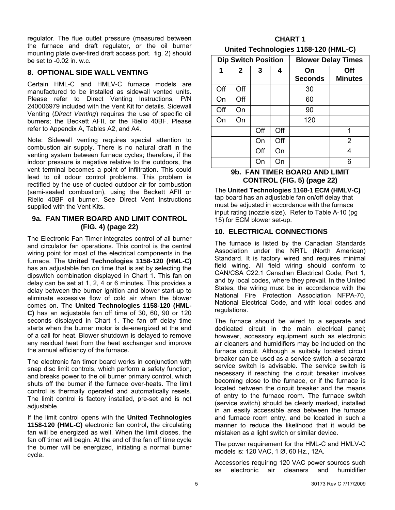<span id="page-4-0"></span>regulator. The flue outlet pressure (measured between the furnace and draft regulator, or the oil burner mounting plate over-fired draft access port. fig. 2) should be set to -0.02 in. w.c.

#### **8. OPTIONAL SIDE WALL VENTING**

Certain HML-C and HMLV-C furnace models are manufactured to be installed as sidewall vented units. Please refer to Direct Venting Instructions, P/N 240006979 included with the Vent Kit for details. Sidewall Venting (*Direct Venting*) requires the use of specific oil burners; the Beckett AFII, or the Riello 40BF. Please refer to Appendix A, Tables A2, and A4.

Note: Sidewall venting requires special attention to combustion air supply. There is no natural draft in the venting system between furnace cycles; therefore, if the indoor pressure is negative relative to the outdoors, the vent terminal becomes a point of infiltration. This could lead to oil odour control problems. This problem is rectified by the use of ducted outdoor air for combustion (semi-sealed combustion), using the Beckett AFII or Riello 40BF oil burner. See Direct Vent Instructions supplied with the Vent Kits.

#### 9a. FAN TIMER BOARD AND LIMIT CONTROL **(FIG. 4) (page 22)**

The Electronic Fan Timer integrates control of all burner and circulator fan operations. This control is the central wiring point for most of the electrical components in the furnace. The **United Technologies 1158-120 (HML-C)** has an adjustable fan on time that is set by selecting the dipswitch combination displayed in Chart 1. This fan on delay can be set at 1, 2, 4 or 6 minutes. This provides a delay between the burner ignition and blower start-up to eliminate excessive flow of cold air when the blower comes on. The **United Technologies 1158-120 (HML-C)** has an adjustable fan off time of 30, 60, 90 or 120 seconds displayed in Chart 1. The fan off delay time starts when the burner motor is de-energized at the end of a call for heat. Blower shutdown is delayed to remove any residual heat from the heat exchanger and improve the annual efficiency of the furnace.

The electronic fan timer board works in conjunction with snap disc limit controls, which perform a safety function, and breaks power to the oil burner primary control, which shuts off the burner if the furnace over-heats. The limit control is thermally operated and automatically resets. The limit control is factory installed, pre-set and is not adjustable.

If the limit control opens with the United Technologies **1158-120 (HML-C)** electronic fan control**,** the circulating fan will be energized as well. When the limit closes, the fan off timer will begin. At the end of the fan off time cycle the burner will be energized, initiating a normal burner cycle.

#### **CHART 1 United Technologies 1158-120 (HML-C)**

|     | <b>Dip Switch Position</b> |     |     |                      | <b>Blower Delay Times</b> |
|-----|----------------------------|-----|-----|----------------------|---------------------------|
| 1   | $\mathbf{2}$               | 3   | 4   | On<br><b>Seconds</b> | Off<br><b>Minutes</b>     |
| Off | Off                        |     |     | 30                   |                           |
| On  | Off                        |     |     | 60                   |                           |
| Off | On                         |     |     | 90                   |                           |
| On  | On                         |     |     | 120                  |                           |
|     |                            | Off | Off |                      | 1                         |
|     |                            | On  | Off |                      | 2                         |
|     |                            | Off | On  |                      | 4                         |
|     |                            | On  | On  |                      | ี่ค                       |

#### 9b. FAN TIMER BOARD AND LIMIT **CONTROL (FIG. 5) (page 22)**

The **United Technologies 1168-1 ECM (HMLV-C)**  tap board has an adjustable fan on/off delay that must be adjusted in accordance with the furnace input rating (nozzle size). Refer to Table A-10 (pg 15) for ECM blower set-up.

#### **10. ELECTRICAL CONNECTIONS**

The furnace is listed by the Canadian Standards Association under the NRTL (North American) Standard. It is factory wired and requires minimal field wiring. All field wiring should conform to CAN/CSA C22.1 Canadian Electrical Code, Part 1, and by local codes, where they prevail. In the United States, the wiring must be in accordance with the National Fire Protection Association NFPA-70, National Electrical Code, and with local codes and regulations.

The furnace should be wired to a separate and dedicated circuit in the main electrical panel; however, accessory equipment such as electronic air cleaners and humidifiers may be included on the furnace circuit. Although a suitably located circuit breaker can be used as a service switch, a separate service switch is advisable. The service switch is necessary if reaching the circuit breaker involves becoming close to the furnace, or if the furnace is located between the circuit breaker and the means of entry to the furnace room. The furnace switch (service switch) should be clearly marked, installed in an easily accessible area between the furnace and furnace room entry, and be located in such a manner to reduce the likelihood that it would be mistaken as a light switch or similar device.

The power requirement for the HML-C and HMLV-C models is: 120 VAC, 1 Ø, 60 Hz., 12A.

Accessories requiring 120 VAC power sources such as electronic air cleaners and humidifier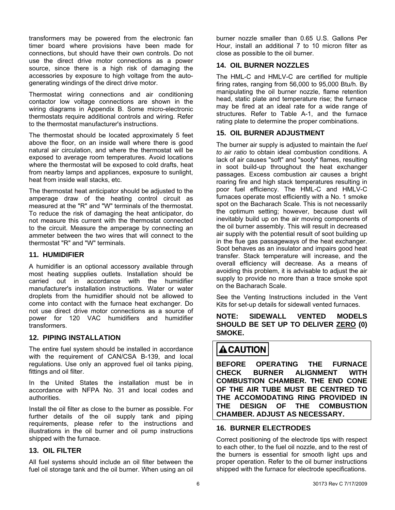<span id="page-5-0"></span>transformers may be powered from the electronic fan timer board where provisions have been made for connections, but should have their own controls. Do not use the direct drive motor connections as a power source, since there is a high risk of damaging the accessories by exposure to high voltage from the autogenerating windings of the direct drive motor.

Thermostat wiring connections and air conditioning contactor low voltage connections are shown in the wiring diagrams in Appendix B. Some micro-electronic thermostats require additional controls and wiring. Refer to the thermostat manufacturer's instructions.

above the floor, on an inside wall where there is good The thermostat should be located approximately 5 feet natural air circulation, and where the thermostat will be exposed to average room temperatures. Avoid locations where the thermostat will be exposed to cold drafts, heat from nearby lamps and appliances, exposure to sunlight, heat from inside wall stacks, etc.

amperage draw of the heating control circuit as The thermostat heat anticipator should be adjusted to the measured at the "R" and "W" terminals of the thermostat. To reduce the risk of damaging the heat anticipator, do not measure this current with the thermostat connected to the circuit. Measure the amperage by connecting an ammeter between the two wires that will connect to the thermostat "R" and "W" terminals.

#### **11. HUMIDIFIER**

A humidifier is an optional accessory available through most heating supplies outlets. Installation should be carried out in accordance with the humidifier manufacturer's installation instructions. Water or water droplets from the humidifier should not be allowed to come into contact with the furnace heat exchanger. Do not use direct drive motor connections as a source of power for 120 VAC humidifiers and humidifier transformers.

#### **12. PIPING INSTALLATION**

The entire fuel system should be installed in accordance with the requirement of CAN/CSA B-139, and local regulations. Use only an approved fuel oil tanks piping, fittings and oil filter.

accordance with NFPA No. 31 and local codes and In the United States the installation must be in authorities.

further details of the oil supply tank and piping Install the oil filter as close to the burner as possible. For requirements, please refer to the instructions and illustrations in the oil burner and oil pump instructions shipped with the furnace.

#### **13. OIL FILTER**

All fuel systems should include an oil filter between the fuel oil storage tank and the oil burner. When using an oil burner nozzle smaller than 0.65 U.S. Gallons Per Hour, install an additional 7 to 10 micron filter as close as possible to the oil burner.

#### **14. OIL BURNER NOZZLES**

The HML-C and HMLV-C are certified for multiple firing rates, ranging from 56,000 to 95,000 Btu/h. By manipulating the oil burner nozzle, flame retention head, static plate and temperature rise; the furnace may be fired at an ideal rate for a wide range of structures. Refer to Table A-1, and the furnace rating plate to determine the proper combinations.

#### **15. OIL BURNER ADJUSTMENT**

The burner air supply is adjusted to maintain the fuel to air ratio to obtain ideal combustion conditions. A lack of air causes "soft" and "sooty" flames, resulting in soot build-up throughout the heat exchanger passages. Excess combustion air causes a bright roaring fire and high stack temperatures resulting in poor fuel efficiency. The HML-C and HMLV-C furnaces operate most efficiently with a No. 1 smoke spot on the Bacharach Scale. This is not necessarily the optimum setting; however, because dust will inevitably build up on the air moving components of the oil burner assembly. This will result in decreased air supply with the potential result of soot building up in the flue gas passageways of the heat exchanger. Soot behaves as an insulator and impairs good heat transfer. Stack temperature will increase, and the overall efficiency will decrease. As a means of avoiding this problem, it is advisable to adjust the air supply to provide no more than a trace smoke spot on the Bacharach Scale.

Kits for set-up details for sidewall vented furnaces. See the Venting Instructions included in the Vent

#### **NOTE: SIDEWALL VENTED MODELS SHOULD BE SET UP TO DELIVER ZERO (0) SMOKE.**

# **ACAUTION**

**BEFORE OPERATING THE FURNACE CHECK BURNER ALIGNMENT WITH COMBUSTION CHAMBER. THE END CONE OF THE AIR TUBE MUST BE CENTRED TO THE ACCOMODATING RING PROVIDED IN THE DESIGN OF THE COMBUSTION CHAMBER. ADJUST AS NECESSARY.** 

#### **16. BURNER ELECTRODES**

Correct positioning of the electrod e tips with respect to each other, to the fuel oil nozzle , and to the rest of the burners is essential for smooth light ups and proper operation. Refer to the oil burner instructions shipped with the furnace for electrode specifications.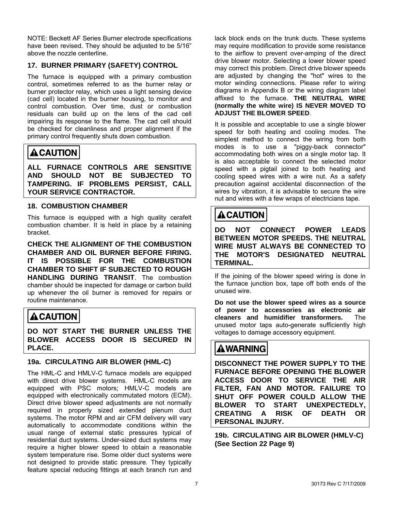<span id="page-6-0"></span>NOTE: Beckett AF Series Burner electrode specifications have been revised. They should be adjusted to be 5/16" above the nozzle centerline.

#### **17. BURNER PRIMARY (SAFETY) CONTROL**

control, sometimes referred to as the burner relay or The furnace is equipped with a primary combustion burner protector relay, which uses a light sensing device (cad cell) located in the burner housing, to monitor and control combustion. Over time, dust or combustion residuals can build up on the lens of the cad cell impairing its response to the flame. The cad cell should be checked for cleanliness and proper alignment if the primary control frequently shuts down combustion.

# **ACAUTION**

**ALL FURNACE CONTROLS ARE SENSITIVE AND SHOULD NOT BE SUBJECTED TO TAMPERING. IF PROBLEMS PERSIST, CALL YOUR SERVICE CONTRACTOR.** 

#### **18. COMBUSTION CHAMBER**

This furnace is equipped with a high quality cerafelt combustion chamber. It is held in place by a retaining bracket.

CHAMBER AND OIL BURNER BEFORE FIRING. **CHECK THE ALIGNMENT OF THE COMBUSTION IT IS POSSIBLE FOR THE COMBUSTION CHAMBER TO SHIFT IF SUBJECTED TO ROUGH HANDLING DURING TRANSIT**. The combustion chamber should be inspected for damage or carbon build up whenever the oil burner is removed for repairs or routine maintenance.

# **ACAUTION**

**DO NOT START THE BURNER UNLESS THE BLOWER ACCESS DOOR IS SECURED IN PLACE.** 

#### **19a. CIRCULATING AIR BLOWER (HML-C)**

The HML-C and HMLV-C furnace models are equipped with direct drive blower systems. HML-C models are equipped with PSC motors; HMLV-C models are equipped with electronically commutated motors (ECM). Direct drive blower speed adjustments are not normally required in properly sized extended plenum duct systems. The motor RPM and air CFM delivery will vary automatically to accommodate conditions within the usual range of external static pressures typical of residential duct systems. Under-sized duct systems may require a higher blower speed to obtain a reasonable system temperature rise. Some older duct systems were not designed to provide static pressure. They typically feature special reducing fittings at each branch run and

lack block ends on the trunk ducts. These systems may require modification to provide some resistance to the airflow to prevent over-amping of the direct drive blower motor. Selecting a lower blower speed may correct this problem. Direct drive blower speeds are adjusted by changing the "hot" wires to the motor winding connections. Please refer to wiring diagrams in Appendix B or the wiring diagram label affixed to the furnace. **THE NEUTRAL WIRE (normally the white wire) IS NEVER MOVED TO ADJUST THE BLOWER SPEED**.

simplest method to connect the wiring from both It is possible and acceptable to use a single blower speed for both heating and cooling modes. The modes is to use a "piggy-back connector" accommodating both wires on a single motor tap. It is also acceptable to connect the selected motor speed with a pigtail joined to both heating and cooling speed wires with a wire nut. As a safety precaution against accidental disconnection of the wires by vibration, it is advisable to secure the wire nut and wires with a few wraps of electricians tape.

# **ACAUTION**

**DO NOT CONNECT POWER LEADS BETWEEN MOTOR SPEEDS. THE NEUTRAL WIRE MUST ALWAYS BE CONNECTED TO THE MOTOR'S DESIGNATED NEUTRAL TERMINAL.** 

If the joining of the blower speed wiring is done in the furnace junction box, tape off both ends of the unused wire.

**Do not use the blower speed wires as a source of power to accessories as electronic air cleaners and humidifier transformers.** The unused motor taps auto-generate sufficiently high voltages to damage accessory equipment.

# AWARNING∣

**DISCONNECT THE POWER SUPPLY TO THE FURNACE BEFORE OPENING THE BLOWER ACCESS DOOR TO SERVICE THE AIR FILTER, FAN AND MOTOR. FAILURE TO SHUT OFF POWER COULD ALLOW THE BLOWER TO START UNEXPECTEDLY, CREATING A RISK OF DEATH OR PERSONAL INJURY.** 

**19b. CIRCULATING AIR BLOWER (HMLV-C) (See Section 22 Page 9)**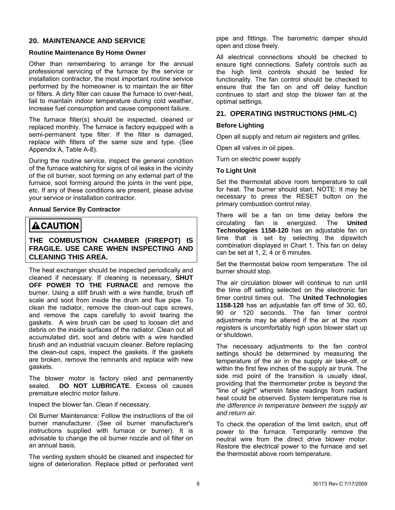#### <span id="page-7-0"></span>**20. MAINTENANCE AND SERVICE**

#### **Routine Maintenance By Home Owner**

Other than remembering to arrange for the annual professional servicing of the furnace by the service or installation contractor, the most important routine service performed by the homeowner is to maintain the air filter or filters. A dirty filter can cause the furnace to over-heat, fail to maintain indoor temperature during cold weather, increase fuel consumption and cause component failure.

The furnace filter(s) should be inspected, cleaned or replaced monthly. The furnace is factory equipped with a semi-permanent type filter. If the filter is damaged, replace with filters of the same size and type. (See Appendix A, Table A-8).

During the routine service, inspect the general condition of the furnace watching for signs of oil leaks in the vicinity of the oil burner, soot forming on any external part of the furnace, soot forming around the joints in the vent pipe, etc. If any of these conditions are present, please advise your service or installation contractor.

#### **Annual Service By Contractor**

### **ACAUTION**

#### **THE COMBUSTION CHAMBER (FIREPOT) IS FRAGILE. USE CARE WHEN INSPECTING AND CLEANING THIS AREA.**

The heat exchanger should be inspected periodically and cleaned if necessary. If cleaning is necessary, **SHUT OFF POWER TO THE FURNACE** and remove the burner. Using a stiff brush with a wire handle, brush off scale and soot from inside the drum and flue pipe. To clean the radiator, remove the clean-out caps screws, and remove the caps carefully to avoid tearing the gaskets. A wire brush can be used to loosen dirt and debris on the inside surfaces of the radiator. Clean out all accumulated dirt, soot and debris with a wire handled brush and an industrial vacuum cleaner. Before replacing the clean-out caps, inspect the gaskets. If the gaskets are broken, remove the remnants and replace with new gaskets.

The blower motor is factory oiled and permanently sealed. **DO NOT LUBRICATE**. Excess oil causes premature electric motor failure.

Inspect the blower fan. Clean if necessary.

Oil Burner Maintenance: Follow the instructions of the oil burner manufacturer. (See oil burner manufacturer's instructions supplied with furnace or burner). It is advisable to change the oil burner nozzle and oil filter on an annual basis.

The venting system should be cleaned and inspected for signs of deterioration. Replace pitted or perforated vent pipe and fittings. The barometric damper should open and close freely.

All electrical connections should be checked to ensure tight connections. Safety controls such as the high limit controls should be tested for functionality. The fan control should be checked to ensure that the fan on and off delay function continues to start and stop the blower fan at the optimal settings.

#### **21. OPERATING INSTRUCTIONS (HML-C)**

#### **Before Lighting**

Open all supply and return air registers and grilles.

Open all valves in oil pipes.

Turn on electric power supply

#### **To Light Unit**

Set the thermostat above room temperature to call for heat. The burner should start. NOTE: It may be necessary to press the RESET button on the primary combustion control relay.

There will be a fan on time delay before the circulating fan is energized. The **United Technologies 1158-120** has an adjustable fan on time that is set by selecting the dipswitch combination displayed in Chart 1. This fan on delay can be set at 1, 2, 4 or 6 minutes.

Set the thermostat below room temperature. The oil burner should stop.

The air circulation blower will continue to run until the time off setting selected on the electronic fan timer control times out. The **United Technologies 1158-120** has an adjustable fan off time of 30, 60, 90 or 120 seconds. The fan timer control adjustments may be altered if the air at the room registers is uncomfortably high upon blower start up or shutdown.

The necessary adjustments to the fan control settings should be determined by measuring the temperature of the air in the supply air take-off, or within the first few inches of the supply air trunk. The side mid point of the transition is usually ideal, providing that the thermometer probe is beyond the "line of sight" wherein false readings from radiant heat could be observed. System temperature rise is *the difference in temperature between the supply air and return air*.

To check the operation of the limit switch, shut off power to the furnace. Temporarily remove the neutral wire from the direct drive blower motor. Restore the electrical power to the furnace and set the thermostat above room temperature.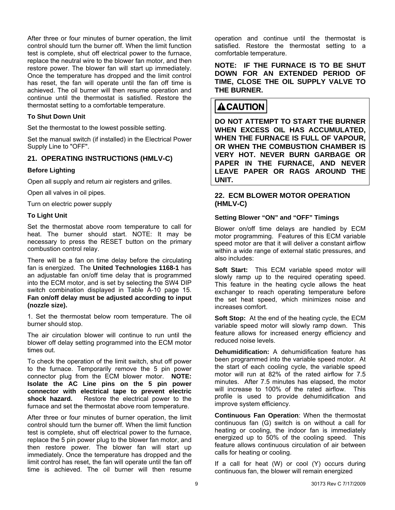After three or four minutes of burner operation, the limit control should turn the burner off. When the limit function test is complete, shut off electrical power to the furnace, replace the neutral wire to the blower fan motor, and then restore power. The blower fan will start up immediately. Once the temperature has dropped and the limit control has reset, the fan will operate until the fan off time is achieved. The oil burner will then resume operation and continue until the thermostat is satisfied. Restore the thermostat setting to a comfortable temperature.

#### **To Shut Down Unit**

Set the thermostat to the lowest possible setting.

Set the manual switch (if installed) in the Electrical Power Supply Line to "OFF".

#### **21. OPERATING INSTRUCTIONS (HMLV-C)**

#### **Before Lighting**

Open all supply and return air registers and grilles.

Open all valves in oil pipes.

Turn on electric power supply

#### **To Light Unit**

Set the thermostat above room temperature to call for heat. The burner should start. NOTE: It may be necessary to press the RESET button on the primary combustion control relay.

There will be a fan on time delay before the circulating fan is energized. The **United Technologies 1168-1** has an adjustable fan on/off time delay that is programmed into the ECM motor, and is set by selecting the SW4 DIP switch combination displayed in Table A-10 page 15. **Fan on/off delay must be adjusted according to input (nozzle size).**

1. Set the thermostat below room temperature. The oil burner should stop.

The air circulation blower will continue to run until the blower off delay setting programmed into the ECM motor times out.

To check the operation of the limit switch, shut off power to the furnace. Temporarily remove the 5 pin power connector plug from the ECM blower motor. **NOTE: Isolate the AC Line pins on the 5 pin power connector with electrical tape to prevent electric shock hazard.** Restore the electrical power to the furnace and set the thermostat above room temperature.

After three or four minutes of burner operation, the limit control should turn the burner off. When the limit function test is complete, shut off electrical power to the furnace, replace the 5 pin power plug to the blower fan motor, and then restore power. The blower fan will start up immediately. Once the temperature has dropped and the limit control has reset, the fan will operate until the fan off time is achieved. The oil burner will then resume

operation and continue until the thermostat is satisfied. Restore the thermostat setting to a comfortable temperature.

**NOTE: IF THE FURNACE IS TO BE SHUT DOWN FOR AN EXTENDED PERIOD OF TIME, CLOSE THE OIL SUPPLY VALVE TO THE BURNER.** 

# **ACAUTION**

**DO NOT ATTEMPT TO START THE BURNER WHEN EXCESS OIL HAS ACCUMULATED, WHEN THE FURNACE IS FULL OF VAPOUR, OR WHEN THE COMBUSTION CHAMBER IS VERY HOT. NEVER BURN GARBAGE OR PAPER IN THE FURNACE, AND NEVER LEAVE PAPER OR RAGS AROUND THE UNIT.** 

#### **22. ECM BLOWER MOTOR OPERATION (HMLV-C)**

#### **Setting Blower "ON" and "OFF" Timings**

Blower on/off time delays are handled by ECM motor programming. Features of this ECM variable speed motor are that it will deliver a constant airflow within a wide range of external static pressures, and also includes:

**Soft Start:** This ECM variable speed motor will slowly ramp up to the required operating speed. This feature in the heating cycle allows the heat exchanger to reach operating temperature before the set heat speed, which minimizes noise and increases comfort.

**Soft Stop:** At the end of the heating cycle, the ECM variable speed motor will slowly ramp down. This feature allows for increased energy efficiency and reduced noise levels.

**Dehumidification:** A dehumidification feature has been programmed into the variable speed motor. At the start of each cooling cycle, the variable speed motor will run at 82% of the rated airflow for 7.5 minutes. After 7.5 minutes has elapsed, the motor will increase to 100% of the rated airflow. This profile is used to provide dehumidification and improve system efficiency.

**Continuous Fan Operation**: When the thermostat continuous fan (G) switch is on without a call for heating or cooling, the indoor fan is immediately energized up to 50% of the cooling speed. This feature allows continuous circulation of air between calls for heating or cooling.

If a call for heat (W) or cool (Y) occurs during continuous fan, the blower will remain energized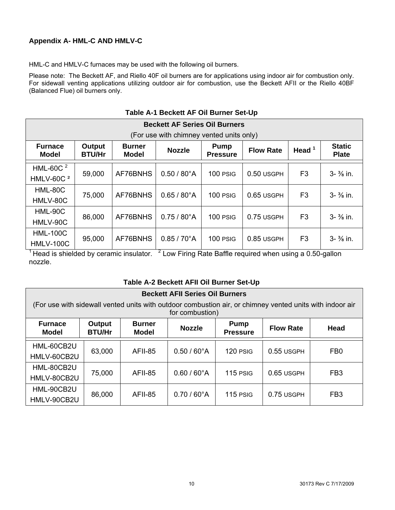#### <span id="page-9-0"></span>**Appendix A- HML-C AND HMLV-C**

HML-C and HMLV-C furnaces may be used with the following oil burners.

Please note: The Beckett AF, and Riello 40F oil burners are for applications using indoor air for combustion only. For sidewall venting applications utilizing outdoor air for combustion, use the Beckett AFII or the Riello 40BF (Balanced Flue) oil burners only.

| <b>Beckett AF Series Oil Burners</b>     |                                                                                                                                                                              |          |                       |          |            |                |                       |  |  |  |  |  |
|------------------------------------------|------------------------------------------------------------------------------------------------------------------------------------------------------------------------------|----------|-----------------------|----------|------------|----------------|-----------------------|--|--|--|--|--|
| (For use with chimney vented units only) |                                                                                                                                                                              |          |                       |          |            |                |                       |  |  |  |  |  |
| <b>Furnace</b><br><b>Model</b>           | <b>Static</b><br>Output<br><b>Burner</b><br><b>Pump</b><br>Head $1$<br><b>Flow Rate</b><br><b>Nozzle</b><br><b>BTU/Hr</b><br><b>Pressure</b><br><b>Model</b><br><b>Plate</b> |          |                       |          |            |                |                       |  |  |  |  |  |
| HML-60C $2$                              | 59,000                                                                                                                                                                       | AF76BNHS | $0.50 / 80^{\circ}$ A | 100 PSIG | 0.50 USGPH | F <sub>3</sub> | $3 - \frac{3}{8}$ in. |  |  |  |  |  |
| HMLV-60C <sup>2</sup>                    |                                                                                                                                                                              |          |                       |          |            |                |                       |  |  |  |  |  |
| HML-80C                                  | 75,000                                                                                                                                                                       | AF76BNHS | $0.65 / 80^{\circ}$ A | 100 PSIG | 0.65 USGPH | F <sub>3</sub> | $3 - \frac{3}{8}$ in. |  |  |  |  |  |
| HMLV-80C                                 |                                                                                                                                                                              |          |                       |          |            |                |                       |  |  |  |  |  |
| HML-90C                                  | 86,000                                                                                                                                                                       | AF76BNHS | $0.75/80^{\circ}$ A   | 100 PSIG | 0.75 USGPH | F <sub>3</sub> | $3 - \frac{3}{8}$ in. |  |  |  |  |  |
| HMLV-90C                                 |                                                                                                                                                                              |          |                       |          |            |                |                       |  |  |  |  |  |
| <b>HML-100C</b>                          | 95,000                                                                                                                                                                       | AF76BNHS | $0.85 / 70^{\circ}$ A | 100 PSIG | 0.85 USGPH | F <sub>3</sub> | $3 - \frac{3}{8}$ in. |  |  |  |  |  |
| <b>HMLV-100C</b>                         |                                                                                                                                                                              |          |                       |          |            |                |                       |  |  |  |  |  |

#### **Table A-1 Beckett AF Oil Burner Set-Up**

<sup>1</sup> Head is shielded by ceramic insulator.  $2^2$  Low Firing Rate Baffle required when using a 0.50-gallon nozzle.

#### **Table A-2 Beckett AFII Oil Burner Set-Up**

| <b>Beckett AFII Series Oil Burners</b>                                                                                                                                    |        |         |                       |          |            |                 |  |  |  |  |  |
|---------------------------------------------------------------------------------------------------------------------------------------------------------------------------|--------|---------|-----------------------|----------|------------|-----------------|--|--|--|--|--|
| (For use with sidewall vented units with outdoor combustion air, or chimney vented units with indoor air<br>for combustion)                                               |        |         |                       |          |            |                 |  |  |  |  |  |
| <b>Furnace</b><br><b>Burner</b><br><b>Pump</b><br>Output<br>Head<br><b>Nozzle</b><br><b>Flow Rate</b><br><b>BTU/Hr</b><br><b>Model</b><br><b>Model</b><br><b>Pressure</b> |        |         |                       |          |            |                 |  |  |  |  |  |
| HML-60CB2U<br>HMLV-60CB2U                                                                                                                                                 | 63,000 | AFII-85 | $0.50 / 60^{\circ}$ A | 120 PSIG | 0.55 USGPH | FB <sub>0</sub> |  |  |  |  |  |
| HML-80CB2U<br>HMLV-80CB2U                                                                                                                                                 | 75,000 | AFII-85 | $0.60 / 60^{\circ}$ A | 115 PSIG | 0.65 USGPH | FB <sub>3</sub> |  |  |  |  |  |
| HML-90CB2U<br>HMLV-90CB2U                                                                                                                                                 | 86,000 | AFII-85 | $0.70/60^{\circ}$ A   | 115 PSIG | 0.75 USGPH | FB <sub>3</sub> |  |  |  |  |  |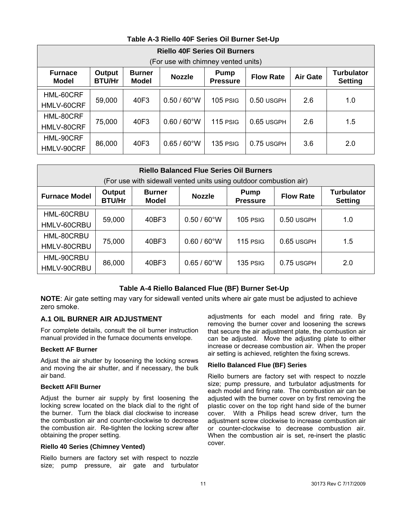#### **Table A-3 Riello 40F Series Oil Burner Set-Up**

<span id="page-10-0"></span>

|                                | <b>Riello 40F Series Oil Burners</b>                                                                                                                                                      |      |                       |                 |              |     |     |  |  |  |  |  |
|--------------------------------|-------------------------------------------------------------------------------------------------------------------------------------------------------------------------------------------|------|-----------------------|-----------------|--------------|-----|-----|--|--|--|--|--|
|                                | (For use with chimney vented units)                                                                                                                                                       |      |                       |                 |              |     |     |  |  |  |  |  |
| <b>Furnace</b><br><b>Model</b> | <b>Turbulator</b><br>Output<br><b>Burner</b><br><b>Pump</b><br><b>Nozzle</b><br><b>Flow Rate</b><br><b>Air Gate</b><br><b>BTU/Hr</b><br><b>Model</b><br><b>Setting</b><br><b>Pressure</b> |      |                       |                 |              |     |     |  |  |  |  |  |
| HML-60CRF<br>HMLV-60CRF        | 59,000                                                                                                                                                                                    | 40F3 | $0.50 / 60^{\circ}$ W | <b>105 PSIG</b> | 0.50 USGPH   | 2.6 | 1.0 |  |  |  |  |  |
| HML-80CRF<br>HMLV-80CRF        | 75,000                                                                                                                                                                                    | 40F3 | $0.60 / 60^{\circ}$ W | 115 PSIG        | $0.65$ USGPH | 2.6 | 1.5 |  |  |  |  |  |
| HML-90CRF<br>HMLV-90CRF        | 86,000                                                                                                                                                                                    | 40F3 | $0.65 / 60^{\circ}$ W | 135 PSIG        | 0.75 USGPH   | 3.6 | 2.0 |  |  |  |  |  |

| <b>Riello Balanced Flue Series Oil Burners</b><br>(For use with sidewall vented units using outdoor combustion air)                                                                            |        |       |                       |            |              |     |  |  |  |  |  |
|------------------------------------------------------------------------------------------------------------------------------------------------------------------------------------------------|--------|-------|-----------------------|------------|--------------|-----|--|--|--|--|--|
| <b>Turbulator</b><br>Output<br><b>Burner</b><br><b>Pump</b><br><b>Furnace Model</b><br><b>Flow Rate</b><br><b>Nozzle</b><br><b>BTU/Hr</b><br><b>Model</b><br><b>Pressure</b><br><b>Setting</b> |        |       |                       |            |              |     |  |  |  |  |  |
| HML-60CRBU<br>HMLV-60CRBU                                                                                                                                                                      | 59,000 | 40BF3 | $0.50 / 60^{\circ}$ W | $105$ PSIG | $0.50$ USGPH | 1.0 |  |  |  |  |  |
| HML-80CRBU<br>HMLV-80CRBU                                                                                                                                                                      | 75,000 | 40BF3 | $0.60 / 60^{\circ}$ W | 115 PSIG   | 0.65 USGPH   | 1.5 |  |  |  |  |  |
| HML-90CRBU<br>HMLV-90CRBU                                                                                                                                                                      | 86,000 | 40BF3 | $0.65/60^{\circ}$ W   | 135 PSIG   | 0.75 USGPH   | 2.0 |  |  |  |  |  |

#### **Table A-4 Riello Balanced Flue (BF) Burner Set-Up**

**NOTE**: Air gate setting may vary for sidewall vented units where air gate must be adjusted to achieve zero smoke.

#### **A.1 OIL BURNER AIR ADJUSTMENT**

For complete details, consult the oil burner instruction manual provided in the furnace documents envelope.

#### **Beckett AF Burner**

Adjust the air shutter by loosening the locking screws and moving the air shutter, and if necessary, the bulk air band.

#### **Beckett AFII Burner**

Adjust the burner air supply by first loosening the locking screw located on the black dial to the right of the burner. Turn the black dial clockwise to increase the combustion air and counter-clockwise to decrease the combustion air. Re-tighten the locking screw after obtaining the proper setting.

#### **Riello 40 Series (Chimney Vented)**

Riello burners are factory set with respect to nozzle size; pump pressure, air gate and turbulator

adjustments for each model and firing rate. By removing the burner cover and loosening the screws that secure the air adjustment plate, the combustion air can be adjusted. Move the adjusting plate to either increase or decrease combustion air. When the proper air setting is achieved, retighten the fixing screws.

#### **Riello Balanced Flue (BF) Series**

Riello burners are factory set with respect to nozzle size; pump pressure, and turbulator adjustments for each model and firing rate. The combustion air can be adjusted with the burner cover on by first removing the plastic cover on the top right hand side of the burner cover. With a Philips head screw driver, turn the adjustment screw clockwise to increase combustion air or counter-clockwise to decrease combustion air. When the combustion air is set, re-insert the plastic cover.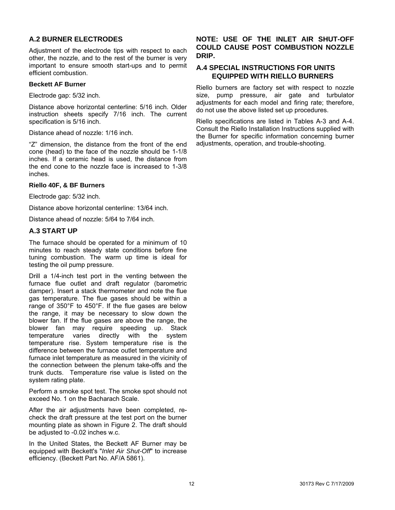#### <span id="page-11-0"></span>**A.2 BURNER ELECTRODES**

Adjustment of the electrode tips with respect to each other, the nozzle, and to the rest of the burner is very important to ensure smooth start-ups and to permit efficient combustion.

#### **Beckett AF Burner**

Electrode gap: 5/32 inch.

Distance above horizontal centerline: 5/16 inch. Older instruction sheets specify 7/16 inch. The current specification is 5/16 inch.

Distance ahead of nozzle: 1/16 inch.

"Z" dimension, the distance from the front of the end cone (head) to the face of the nozzle should be 1-1/8 inches. If a ceramic head is used, the distance from the end cone to the nozzle face is increased to 1-3/8 inches.

#### **Riello 40F, & BF Burners**

Electrode gap: 5/32 inch.

Distance above horizontal centerline: 13/64 inch.

Distance ahead of nozzle: 5/64 to 7/64 inch.

#### **A.3 START UP**

The furnace should be operated for a minimum of 10 minutes to reach steady state conditions before fine tuning combustion. The warm up time is ideal for testing the oil pump pressure.

Drill a 1/4-inch test port in the venting between the furnace flue outlet and draft regulator (barometric damper). Insert a stack thermometer and note the flue gas temperature. The flue gases should be within a range of 350°F to 450°F. If the flue gases are below the range, it may be necessary to slow down the blower fan. If the flue gases are above the range, the blower fan may require speeding up. Stack temperature varies directly with the system temperature rise. System temperature rise is the difference between the furnace outlet temperature and furnace inlet temperature as measured in the vicinity of the connection between the plenum take-offs and the trunk ducts. Temperature rise value is listed on the system rating plate.

Perform a smoke spot test. The smoke spot should not exceed No. 1 on the Bacharach Scale.

After the air adjustments have been completed, recheck the draft pressure at the test port on the burner mounting plate as shown in Figure 2. The draft should be adjusted to -0.02 inches w.c.

In the United States, the Beckett AF Burner may be equipped with Beckett's "*Inlet Air Shut-Off*" to increase efficiency. (Beckett Part No. AF/A 5861).

#### **NOTE: USE OF THE INLET AIR SHUT-OFF COULD CAUSE POST COMBUSTION NOZZLE DRIP.**

#### **A.4 SPECIAL INSTRUCTIONS FOR UNITS EQUIPPED WITH RIELLO BURNERS**

Riello burners are factory set with respect to nozzle size, pump pressure, air gate and turbulator adjustments for each model and firing rate; therefore, do not use the above listed set up procedures.

Riello specifications are listed in Tables A-3 and A-4. Consult the Riello Installation Instructions supplied with the Burner for specific information concerning burner adjustments, operation, and trouble-shooting.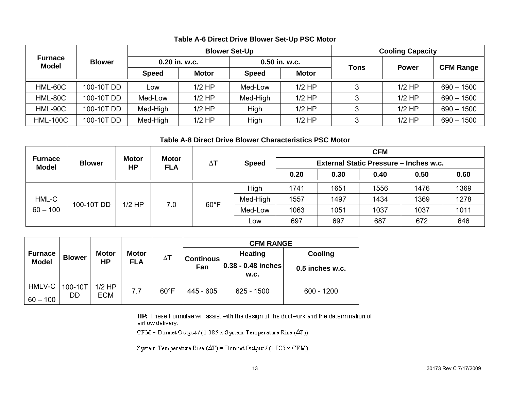|                                |               |               |              | <b>Blower Set-Up</b> |              | <b>Cooling Capacity</b> |              |                  |  |
|--------------------------------|---------------|---------------|--------------|----------------------|--------------|-------------------------|--------------|------------------|--|
| <b>Furnace</b><br><b>Model</b> | <b>Blower</b> | 0.20 in. w.c. |              | 0.50 in. w.c.        |              |                         | <b>Power</b> |                  |  |
|                                |               | <b>Speed</b>  | <b>Motor</b> | <b>Speed</b>         | <b>Motor</b> | Tons                    |              | <b>CFM Range</b> |  |
| HML-60C                        | 100-10T DD    | Low           | $1/2$ HP     | Med-Low              | $1/2$ HP     | 3                       | $1/2$ HP     | $690 - 1500$     |  |
| HML-80C                        | 100-10T DD    | Med-Low       | $1/2$ HP     | Med-High             | $1/2$ HP     | 3                       | $1/2$ HP     | $690 - 1500$     |  |
| HML-90C                        | 100-10T DD    | Med-High      | $1/2$ HP     | High                 | $1/2$ HP     | 3                       | $1/2$ HP     | $690 - 1500$     |  |
| <b>HML-100C</b>                | 100-10T DD    | Med-High      | $1/2$ HP     | High                 | $1/2$ HP     | 3                       | $1/2$ HP     | $690 - 1500$     |  |

#### **Table A-6 Direct Drive Blower Set-Up PSC Motor**

#### **Table A-8 Direct Drive Blower Characteristics PSC Motor**

|                                |                                                          |          | <b>Motor</b> |                |          |            |      |      | <b>CFM</b> |      |              |  |                                        |  |  |
|--------------------------------|----------------------------------------------------------|----------|--------------|----------------|----------|------------|------|------|------------|------|--------------|--|----------------------------------------|--|--|
| <b>Furnace</b><br><b>Model</b> | <b>Motor</b><br><b>Blower</b><br><b>HP</b><br><b>FLA</b> |          |              |                |          | $\Delta$ T |      |      |            |      | <b>Speed</b> |  | External Static Pressure - Inches w.c. |  |  |
|                                |                                                          |          |              | 0.20           | 0.30     | 0.40       | 0.50 | 0.60 |            |      |              |  |                                        |  |  |
|                                |                                                          |          |              | $60^{\circ}$ F | High     | 1741       | 1651 | 1556 | 1476       | 1369 |              |  |                                        |  |  |
| HML-C                          |                                                          | $1/2$ HP |              |                | Med-High | 1557       | 1497 | 1434 | 1369       | 1278 |              |  |                                        |  |  |
| 100-10T DD<br>$60 - 100$       |                                                          | 7.0      |              | Med-Low        | 1063     | 1051       | 1037 | 1037 | 1011       |      |              |  |                                        |  |  |
|                                |                                                          |          |              |                | Low      | 697        | 697  | 687  | 672        | 646  |              |  |                                        |  |  |

|                      |                |                        |              |                |                         | <b>CFM RANGE</b>               |                 |  |  |
|----------------------|----------------|------------------------|--------------|----------------|-------------------------|--------------------------------|-----------------|--|--|
| <b>Furnace</b>       | <b>Blower</b>  | <b>Motor</b>           | <b>Motor</b> | $\Delta$ T     |                         | <b>Heating</b>                 | Cooling         |  |  |
| <b>Model</b>         |                | <b>HP</b>              | <b>FLA</b>   |                | <b>Continous</b><br>Fan | $ 0.38 - 0.48 $ inches<br>W.C. | 0.5 inches w.c. |  |  |
| HMLV-C<br>$60 - 100$ | 100-10T<br>DD. | $1/2$ HP<br><b>ECM</b> | 7.7          | $60^{\circ}$ F | 445 - 605               | 625 - 1500                     | $600 - 1200$    |  |  |

TIP: These Formulae will assist with the design of the ductwork and the determination of airflow delivery:

CFM = Bornet Output / (1.085 x System Temperature Rise  $(\Delta T)$ )

System Temperature Rise  $(\Delta T)$  = Bonnet Output / (1.085 x CFM)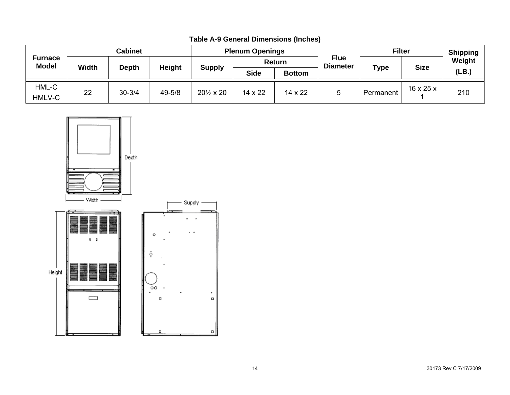|                                | Cabinet      |                               |        | <b>Plenum Openings</b>    |         |                |  | <b>Filter</b> |                                | <b>Shipping</b> |             |        |
|--------------------------------|--------------|-------------------------------|--------|---------------------------|---------|----------------|--|---------------|--------------------------------|-----------------|-------------|--------|
| <b>Furnace</b><br><b>Model</b> | <b>Width</b> | <b>Height</b><br><b>Depth</b> |        |                           |         |                |  | Return        | <b>Flue</b><br><b>Diameter</b> |                 | <b>Size</b> | Weight |
|                                |              |                               |        | <b>Supply</b>             |         | <b>Bottom</b>  |  | <b>Type</b>   |                                | (LB.)           |             |        |
| HML-C<br>HMLV-C                | 22           | $30 - 3/4$                    | 49-5/8 | $20\frac{1}{2} \times 20$ | 14 x 22 | $14 \times 22$ |  | Permanent     | $16 \times 25 \times$          | 210             |             |        |

**Table A-9 General Dimensions (Inches)**

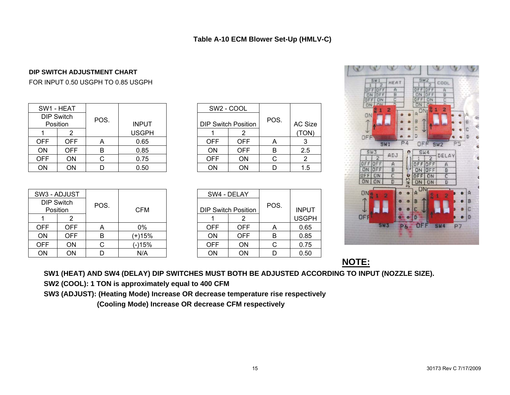#### **DIP SWITCH ADJUSTMENT CHART**

FOR INPUT 0.50 USGPH TO 0.85 USGPH

|            | SW1 - HEAT                    |      |              |            | SW <sub>2</sub> - COOL     |      |               |
|------------|-------------------------------|------|--------------|------------|----------------------------|------|---------------|
|            | <b>DIP Switch</b><br>Position | POS. | <b>INPUT</b> |            | <b>DIP Switch Position</b> | POS. | <b>AC Siz</b> |
|            |                               |      | <b>USGPH</b> |            |                            |      | <b>TON</b>    |
| <b>OFF</b> | OFF.                          |      | 0.65         | <b>OFF</b> | <b>OFF</b>                 |      | 3             |
| <b>ON</b>  | OFF                           | B    | 0.85         | <b>ON</b>  | <b>OFF</b>                 | B    | 2.5           |
| <b>OFF</b> | ON                            |      | 0.75         | <b>OFF</b> | <b>ON</b>                  |      | 2             |
| ON         | ON                            |      | 0.50         | <b>ON</b>  | <b>ON</b>                  |      | 1.5           |

|              | SW2 - COOL                 |            |      |         |
|--------------|----------------------------|------------|------|---------|
| <b>INPUT</b> | <b>DIP Switch Position</b> |            | POS. | AC Size |
| USGPH        |                            | 2          |      | (TON)   |
| 0.65         | <b>OFF</b>                 | <b>OFF</b> | Α    |         |
| 0.85         | ON                         | <b>OFF</b> | B    | 2.5     |
| 0.75         | <b>OFF</b>                 | ON         | С    | 2       |
| 0.50         | ΟN                         | ΟN         |      | 1.5     |

|            | SW3 - ADJUST                  |      |            |            | SW4 - DELAY                |      |              |
|------------|-------------------------------|------|------------|------------|----------------------------|------|--------------|
|            | <b>DIP Switch</b><br>Position | POS. | <b>CFM</b> |            | <b>DIP Switch Position</b> | POS. | <b>INPUT</b> |
|            |                               |      |            |            |                            |      | <b>USGPI</b> |
| <b>OFF</b> | OFF                           | A    | 0%         | <b>OFF</b> | <b>OFF</b>                 | Α    | 0.65         |
| ON         | OFF.                          | в    | (+)15%     | <b>ON</b>  | <b>OFF</b>                 | B    | 0.85         |
| <b>OFF</b> | ON                            |      | (-)15%     | <b>OFF</b> | <b>ON</b>                  | C    | 0.75         |
| ON         | ON                            |      | N/A        | ON         | <b>ON</b>                  |      | 0.50         |

|            | SW4 - DELAY                |      |              |
|------------|----------------------------|------|--------------|
|            | <b>DIP Switch Position</b> | POS. | <b>INPUT</b> |
|            | 2                          |      | <b>USGPH</b> |
| <b>OFF</b> | OFF                        | Α    | 0.65         |
| ΟN         | <b>OFF</b>                 | В    | 0.85         |
| OFF        | ΟN                         | C    | 0.75         |
| ΟN         | ΟN                         | n    | 0.50         |



**NOTE:**

**SW1 (HEAT) AND SW4 (DELAY) DIP SWITCHES MUST BOTH BE ADJUSTED ACCORDING TO INPUT (NOZZLE SIZE).** 

**SW2 (COOL): 1 TON is approximately equal to 400 CFM** 

**SW3 (ADJUST): (Heating Mode) Increase OR decrease temperature rise respectively** 

 **(Cooling Mode) Increase OR decrease CFM respectively**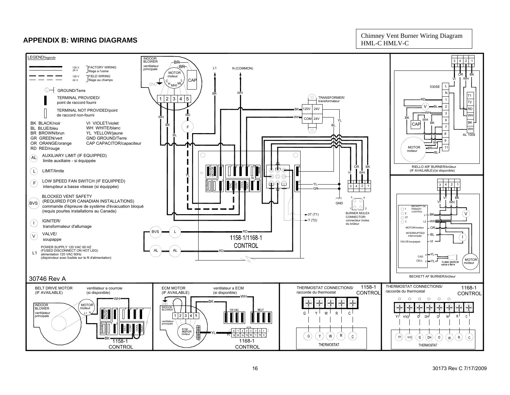#### **APPENDIX B: WIRING DIAGRAMS**

Chimney Vent Burner Wiring Diagram HML-C HMLV-C

<span id="page-15-0"></span>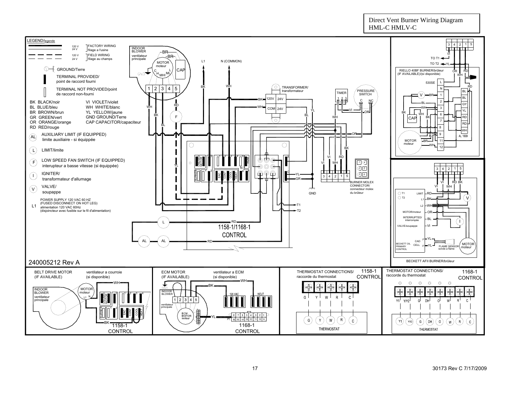#### HML-C HMLV-CLEGEND/legende FACTORY WIRING3 | 4 | 2 | 1 | 5 120 VINDOOR24 V filage a l'usine  $-BR$ BLOWER FIELD WIRING120 VVI principale ventilateur BR TO T1 $\blacktriangleleft$ 24 V filage au champs L1N (COMMON) MOTORTO T2  $\rightarrow$  YL moteur**CAF** RIELLO 40BF BURNER/brûleurGROUND/Terre ORR IRD  $GND$ (IF AVAILABLE)/(si disponible) HMLTERMINAL PROVIDED/MHIWHpoint de raccord fourni 530SE <sup>L</sup> ര BKWHRDTERMINAL NOT PROVIDED/point TRANSFORMER/ transformateur 1 | 2 | 3 4 5 7 5 N $R$   $/$  PRESSURE<br>SWITCH TIMERBLde raccord non-fourniVBRR— 1 120V 24VBL123 VI VIOLET/violetBKBK BLACK/noirCNC2BLGY BL BLUE/bleuWH WHITE/blanc RDWHWH3WHCOMI 24V YL BR BROWN/brunYL YELLOW/jaune YLVI——∧OR BKWHBKBL6GR GREEN/vert GND GROUND/TerreF**CAP** WHBKKII—II <del>Y</del>II—IRD ر ه ا OR ORANGE/orange CAP CAPACITOR/capaciteur 7RDBL℧ RD RED/rouge 8WH AUXILIARY LIMIT (IF EQUIPPED) 9ORALAL 1009 limite auxiliaire - si équippée moteur MOTOR 11BR $\bigcirc$  $\circ$ WH12BKLIMIT/limiteL VI RDUNUSED  $\frac{1}{2}$   $\frac{1}{2}$ 12 43 a 4 m 5 XLOW SPEED FAN SWITCH (IF EQUIPPED) HUM ⊚  $\overline{10}$ F VIWHinterupteur a basse vitesse (si équippée)  $\circledcirc$ YL $(2)$  5 N3 | 4 | 2 | 1 | 5 43ଢ଼ والتلبتانية  $\begin{smallmatrix}\mathbb{F}\mathbb{F} & \mathbb{F} & \mathbb{F} \end{smallmatrix}$ 7卫 C $\bigcirc$ CONT COOL  $\sqrt{1}$  $\bigcap$  igniter/ HEAT EAC YL3 | 4 | 2 | 1 | 5 transformateur d'allumage GRBURNER MOLEXD BK VII IRD CONNECTOR/VALVE/VIWH $\overline{\phantom{a}}$  connecteur molex V) VALVL soupappe GNDdu brûleur $O T1$ LIMITRD T2 VBKL1POWER SUPPLY 120 VAC 60 HZ L1 (FUSED DISCONNECT ON HOT LEG) alimentation 120 VAC 60HzT1 $\overline{2}$ WH(disjoincteur avec fusible sur le fil d'alimentation)  $T \rightarrow T2$ **MOTOR** ORINTERRUPTED/BLinterrompée DD. L 1158-1/1168-1 VALVE/soupappe VICONTROL YLFALL — (AL <del>) = 2000 =</del> RD CADMOTORBECKETT OILCELL  $\sim$ YL**RIMARY** F<sup>1L</sup> FLAME SENSOR moteu moteur**CONTROL** sonde a flameBECKETT AFII BURNER/brûleur240005212 Rev A1158-1THERMOSTAT CONNECTIONS/ THERMOSTAT CONNECTIONS/ ECM MOTORventilateur a ECM1168-1BELT DRIVE MOTOR ventilateur a courroie raccorde du thermostat(IF AVAILABLE) (si disponible) (IF AVAILABLE) (si disponible) raccorde du thermostatCONTROL **CONTROL** WH $\circ$  $\circ$  $\circ$  $\Omega$  $\circ$ WH $\Omega$ BK**MOTO** INDOOR⊕ Æ Æ Æ ⊕ ſ moteur INDOOR**BLOWER** UNUSED 31 m 1 d 2 m 3 m 4 খা⊓া∎≚∎া∎৭ /I IBIOWFR ventilateurMUTHER LIBERTY G W V.  $\mathsf{R}$ N $1 \mid 2$  $\vert$ 3 l 4 | 5 principale **VM<sub>2</sub>** d **DH**  $\epsilon$ ventilateur $\frac{2}{\left|\mathbf{r}\right|}\left|\frac{1}{\mathbf{r}}\right|$   $\frac{1}{\mathbf{r}}\left|\frac{1}{\mathbf{r}}\right|$   $\frac{1}{\mathbf{r}}\left|\frac{1}{\mathbf{r}}\right|$  principale BURNER  $\frac{1}{2}$   $\frac{1}{2}$   $\frac{1}{2}$   $\frac{1}{2}$   $\frac{1}{2}$   $\frac{1}{2}$   $\frac{1}{2}$   $\frac{1}{2}$   $\frac{1}{2}$   $\frac{1}{2}$   $\frac{1}{2}$   $\frac{1}{2}$   $\frac{1}{2}$   $\frac{1}{2}$   $\frac{1}{2}$   $\frac{1}{2}$   $\frac{1}{2}$   $\frac{1}{2}$   $\frac{1}{2}$   $\frac{1}{2}$   $\frac{1}{2}$   $\frac{1}{2}$  HEAT EAC  $Q$  8 7 6 5 4  $(3)$  2 1  $\frac{1}{2}$   $\frac{1}{16}$   $\frac{1}{16}$   $\frac{1}{14}$   $\frac{1}{13}$   $\frac{1}{12}$   $\frac{1}{11}$   $\frac{1}{10}$   $\frac{1}{9}$ YL $\left( 6\right)$  $Y$  $[W]$  $\mathsf{R}$  $\overline{\mathbf{c}}$  .  $\left[ 1, 1 \right]$ (DH G  $\Omega$ BK1168-11158-1THERMOSTAT THERMOSTAT **CONTROL**

Direct Vent Burner Wiring Diagram

**CONTROL**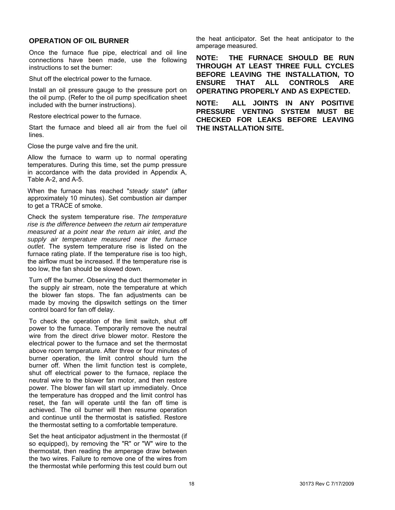#### <span id="page-17-0"></span>**OPERATION OF OIL BURNER**

Once the furnace flue pipe, electrical and oil line connections have been made, use the following instructions to set the burner:

Shut off the electrical power to the furnace.

Install an oil pressure gauge to the pressure port on the oil pump. (Refer to the oil pump specification sheet included with the burner instructions).

Restore electrical power to the furnace.

Start the furnace and bleed all air from the fuel oil lines.

Close the purge valve and fire the unit.

Allow the furnace to warm up to normal operating temperatures. During this time, set the pump pressure in accordance with the data provided in Appendix A, Table A-2, and A-5.

When the furnace has reached "*steady state*" (after approximately 10 minutes). Set combustion air damper to get a TRACE of smoke.

Check the system temperature rise. *The temperature rise is the difference between the return air temperature measured at a point near the return air inlet, and the supply air temperature measured near the furnace outlet*. The system temperature rise is listed on the furnace rating plate. If the temperature rise is too high, the airflow must be increased. If the temperature rise is too low, the fan should be slowed down.

Turn off the burner. Observing the duct thermometer in the supply air stream, note the temperature at which the blower fan stops. The fan adjustments can be made by moving the dipswitch settings on the timer control board for fan off delay.

To check the operation of the limit switch, shut off power to the furnace. Temporarily remove the neutral wire from the direct drive blower motor. Restore the electrical power to the furnace and set the thermostat above room temperature. After three or four minutes of burner operation, the limit control should turn the burner off. When the limit function test is complete, shut off electrical power to the furnace, replace the neutral wire to the blower fan motor, and then restore power. The blower fan will start up immediately. Once the temperature has dropped and the limit control has reset, the fan will operate until the fan off time is achieved. The oil burner will then resume operation and continue until the thermostat is satisfied. Restore the thermostat setting to a comfortable temperature.

Set the heat anticipator adjustment in the thermostat (if so equipped), by removing the "R" or "W" wire to the thermostat, then reading the amperage draw between the two wires. Failure to remove one of the wires from the thermostat while performing this test could burn out

the heat anticipator. Set the heat anticipator to the amperage measured.

**NOTE: THE FURNACE SHOULD BE RUN THROUGH AT LEAST THREE FULL CYCLES BEFORE LEAVING THE INSTALLATION, TO ENSURE THAT ALL CONTROLS ARE OPERATING PROPERLY AND AS EXPECTED.** 

**NOTE: ALL JOINTS IN ANY POSITIVE PRESSURE VENTING SYSTEM MUST BE CHECKED FOR LEAKS BEFORE LEAVING THE INSTALLATION SITE.**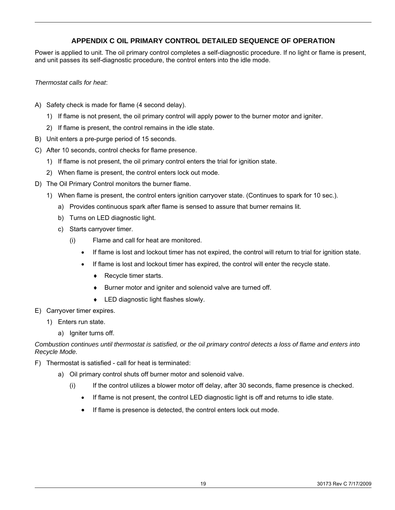#### **APPENDIX C OIL PRIMARY CONTROL DETAILED SEQUENCE OF OPERATION**

<span id="page-18-0"></span>Power is applied to unit. The oil primary control completes a self-diagnostic procedure. If no light or flame is present, and unit passes its self-diagnostic procedure, the control enters into the idle mode.

*Thermostat calls for heat*:

- A) Safety check is made for flame (4 second delay).
	- 1) If flame is not present, the oil primary control will apply power to the burner motor and igniter.
	- 2) If flame is present, the control remains in the idle state.
- B) Unit enters a pre-purge period of 15 seconds.
- C) After 10 seconds, control checks for flame presence.
	- 1) If flame is not present, the oil primary control enters the trial for ignition state.
	- 2) When flame is present, the control enters lock out mode.
- D) The Oil Primary Control monitors the burner flame.
	- 1) When flame is present, the control enters ignition carryover state. (Continues to spark for 10 sec.).
		- a) Provides continuous spark after flame is sensed to assure that burner remains lit.
		- b) Turns on LED diagnostic light.
		- c) Starts carryover timer.
			- (i) Flame and call for heat are monitored.
				- If flame is lost and lockout timer has not expired, the control will return to trial for ignition state.
				- If flame is lost and lockout timer has expired, the control will enter the recycle state.
					- ♦ Recycle timer starts.
					- ♦ Burner motor and igniter and solenoid valve are turned off.
					- ♦ LED diagnostic light flashes slowly.
- E) Carryover timer expires.
	- 1) Enters run state.
		- a) Igniter turns off.

*Combustion continues until thermostat is satisfied, or the oil primary control detects a loss of flame and enters into Recycle Mode.* 

- F) Thermostat is satisfied call for heat is terminated:
	- a) Oil primary control shuts off burner motor and solenoid valve.
		- (i) If the control utilizes a blower motor off delay, after 30 seconds, flame presence is checked.
			- If flame is not present, the control LED diagnostic light is off and returns to idle state.
			- If flame is presence is detected, the control enters lock out mode.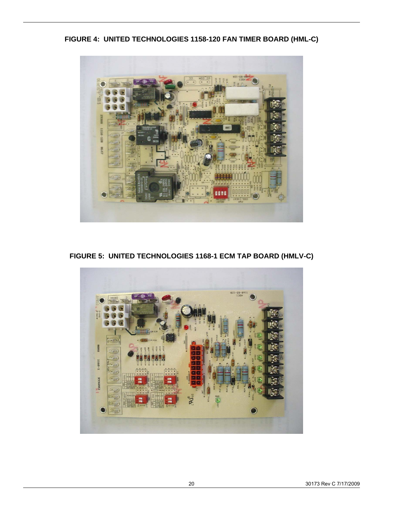**FIGURE 4: UNITED TECHNOLOGIES 1158-120 FAN TIMER BOARD (HML-C)** 



**FIGURE 5: UNITED TECHNOLOGIES 1168-1 ECM TAP BOARD (HMLV-C)** 

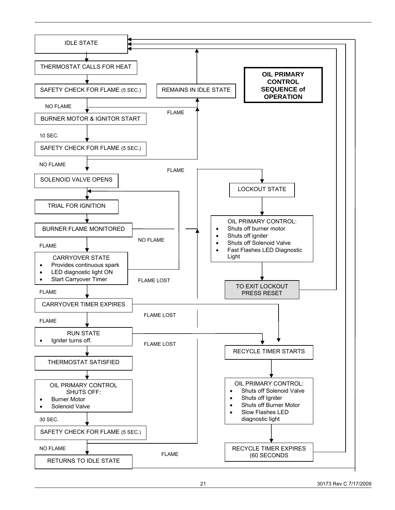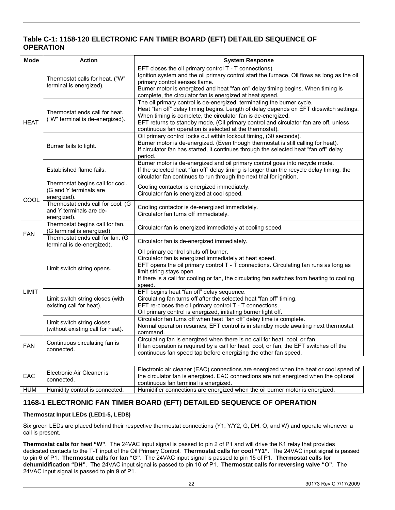#### **Table C-1: 1158-120 ELECTRONIC FAN TIMER BOARD (EFT) DETAILED SEQUENCE OF OPERATION**

| <b>Mode</b>  | <b>Action</b>                                                               | <b>System Response</b>                                                                                                                                                                                                                                                                                                                                                               |
|--------------|-----------------------------------------------------------------------------|--------------------------------------------------------------------------------------------------------------------------------------------------------------------------------------------------------------------------------------------------------------------------------------------------------------------------------------------------------------------------------------|
|              | Thermostat calls for heat. ("W"<br>terminal is energized).                  | EFT closes the oil primary control T - T connections).<br>Ignition system and the oil primary control start the furnace. Oil flows as long as the oil<br>primary control senses flame.<br>Burner motor is energized and heat "fan on" delay timing begins. When timing is<br>complete, the circulator fan is energized at heat speed.                                                |
| <b>HEAT</b>  | Thermostat ends call for heat.<br>("W" terminal is de-energized).           | The oil primary control is de-energized, terminating the burner cycle.<br>Heat "fan off" delay timing begins. Length of delay depends on EFT dipswitch settings.<br>When timing is complete, the circulator fan is de-energized.<br>EFT returns to standby mode, (Oil primary control and circulator fan are off, unless<br>continuous fan operation is selected at the thermostat). |
|              | Burner fails to light.                                                      | Oil primary control locks out within lockout timing, (30 seconds).<br>Burner motor is de-energized. (Even though thermostat is still calling for heat).<br>If circulator fan has started, it continues through the selected heat "fan off" delay<br>period.                                                                                                                          |
|              | Established flame fails.                                                    | Burner motor is de-energized and oil primary control goes into recycle mode.<br>If the selected heat "fan off" delay timing is longer than the recycle delay timing, the<br>circulator fan continues to run through the next trial for ignition.                                                                                                                                     |
|              | Thermostat begins call for cool.<br>(G and Y terminals are<br>energized).   | Cooling contactor is energized immediately.<br>Circulator fan is energized at cool speed.                                                                                                                                                                                                                                                                                            |
| COOL         | Thermostat ends call for cool. (G<br>and Y terminals are de-<br>energized). | Cooling contactor is de-energized immediately.<br>Circulator fan turns off immediately.                                                                                                                                                                                                                                                                                              |
| <b>FAN</b>   | Thermostat begins call for fan.<br>(G terminal is energized).               | Circulator fan is energized immediately at cooling speed.                                                                                                                                                                                                                                                                                                                            |
|              | Thermostat ends call for fan. (G<br>terminal is de-energized).              | Circulator fan is de-energized immediately.                                                                                                                                                                                                                                                                                                                                          |
|              | Limit switch string opens.                                                  | Oil primary control shuts off burner.<br>Circulator fan is energized immediately at heat speed.<br>EFT opens the oil primary control T - T connections. Circulating fan runs as long as<br>limit string stays open.<br>If there is a call for cooling or fan, the circulating fan switches from heating to cooling<br>speed.                                                         |
| <b>LIMIT</b> | Limit switch string closes (with<br>existing call for heat).                | EFT begins heat "fan off" delay sequence.<br>Circulating fan turns off after the selected heat "fan off" timing.<br>EFT re-closes the oil primary control T - T connections.<br>Oil primary control is energized, initiating burner light off.                                                                                                                                       |
|              | Limit switch string closes<br>(without existing call for heat).             | Circulator fan turns off when heat "fan off" delay time is complete.<br>Normal operation resumes; EFT control is in standby mode awaiting next thermostat<br>command.                                                                                                                                                                                                                |
| <b>FAN</b>   | Continuous circulating fan is<br>connected.                                 | Circulating fan is energized when there is no call for heat, cool, or fan.<br>If fan operation is required by a call for heat, cool, or fan, the EFT switches off the<br>continuous fan speed tap before energizing the other fan speed.                                                                                                                                             |
|              |                                                                             |                                                                                                                                                                                                                                                                                                                                                                                      |
| EAC          | Electronic Air Cleaner is<br>connected.                                     | Electronic air cleaner (EAC) connections are energized when the heat or cool speed of<br>the circulator fan is energized. EAC connections are not energized when the optional<br>continuous fan terminal is energized.                                                                                                                                                               |

### **1168-1 ELECTRONIC FAN TIMER BOARD (EFT) DETAILED SEQUENCE OF OPERATION**

HUM | Humidity control is connected. | Humidifier connections are energized when the oil burner motor is energized.

#### **Thermostat Input LEDs (LED1-5, LED8)**

Six green LEDs are placed behind their respective thermostat connections (Y1, Y/Y2, G, DH, O, and W) and operate whenever a call is present.

**Thermostat calls for heat "W"**. The 24VAC input signal is passed to pin 2 of P1 and will drive the K1 relay that provides dedicated contacts to the T-T input of the Oil Primary Control. **Thermostat calls for cool "Y1"**. The 24VAC input signal is passed to pin 6 of P1. **Thermostat calls for fan "G"**. The 24VAC input signal is passed to pin 15 of P1. **Thermostat calls for dehumidification "DH"**. The 24VAC input signal is passed to pin 10 of P1. **Thermostat calls for reversing valve "O"**. The 24VAC input signal is passed to pin 9 of P1.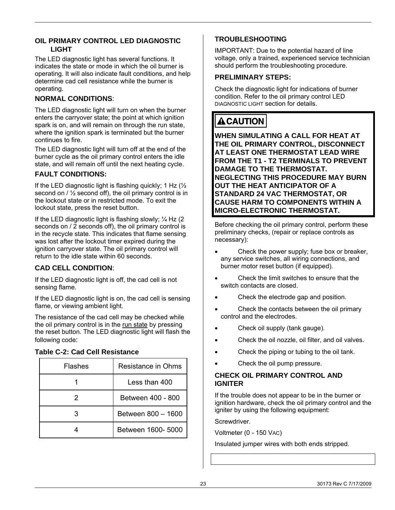#### <span id="page-22-0"></span>**OIL PRIMARY CONTROL LED DIAGNOSTIC LIGHT**

The LED diagnostic light has several functions. It indicates the state or mode in which the oil burner is operating. It will also indicate fault conditions, and help determine cad cell resistance while the burner is operating.

#### **NORMAL CONDITIONS**:

The LED diagnostic light will turn on when the burner enters the carryover state; the point at which ignition spark is on, and will remain on through the run state, where the ignition spark is terminated but the burner continues to fire.

The LED diagnostic light will turn off at the end of the burner cycle as the oil primary control enters the idle state, and will remain off until the next heating cycle.

#### **FAULT CONDITIONS:**

If the LED diagnostic light is flashing quickly; 1 Hz  $\frac{1}{2}$ second on / ½ second off), the oil primary control is in the lockout state or in restricted mode. To exit the lockout state, press the reset button.

If the LED diagnostic light is flashing slowly;  $\frac{1}{4}$  Hz (2) seconds on / 2 seconds off), the oil primary control is in the recycle state. This indicates that flame sensing was lost after the lockout timer expired during the ignition carryover state. The oil primary control will return to the idle state within 60 seconds.

#### **CAD CELL CONDITION**:

If the LED diagnostic light is off, the cad cell is not sensing flame.

If the LED diagnostic light is on, the cad cell is sensing flame, or viewing ambient light.

The resistance of the cad cell may be checked while the oil primary control is in the run state by pressing the reset button. The LED diagnostic light will flash the following code:

#### **Table C-2: Cad Cell Resistance**

| Flashes | Resistance in Ohms |
|---------|--------------------|
|         | Less than 400      |
|         | Between 400 - 800  |
|         | Between 800 - 1600 |
|         | Between 1600- 5000 |

#### **TROUBLESHOOTING**

IMPORTANT: Due to the potential hazard of line voltage, only a trained, experienced service technician should perform the troubleshooting procedure.

#### **PRELIMINARY STEPS:**

Check the diagnostic light for indications of burner condition. Refer to the oil primary control LED DIAGNOSTIC LIGHT section for details.

# **ACAUTION**

**WHEN SIMULATING A CALL FOR HEAT AT THE OIL PRIMARY CONTROL, DISCONNECT AT LEAST ONE THERMOSTAT LEAD WIRE FROM THE T1 - T2 TERMINALS TO PREVENT DAMAGE TO THE THERMOSTAT. NEGLECTING THIS PROCEDURE MAY BURN OUT THE HEAT ANTICIPATOR OF A STANDARD 24 VAC THERMOSTAT, OR CAUSE HARM TO COMPONENTS WITHIN A MICRO-ELECTRONIC THERMOSTAT.** 

Before checking the oil primary control, perform these preliminary checks, (repair or replace controls as necessary):

- Check the power supply; fuse box or breaker, any service switches, all wiring connections, and burner motor reset button (if equipped).
- Check the limit switches to ensure that the switch contacts are closed.
- Check the electrode gap and position.
- Check the contacts between the oil primary control and the electrodes.
- Check oil supply (tank gauge).
- Check the oil nozzle, oil filter, and oil valves.
- Check the piping or tubing to the oil tank.
- Check the oil pump pressure.

#### **CHECK OIL PRIMARY CONTROL AND IGNITER**

If the trouble does not appear to be in the burner or ignition hardware, check the oil primary control and the igniter by using the following equipment:

Screwdriver.

Voltmeter (0 - 150 VAC)

Insulated jumper wires with both ends stripped.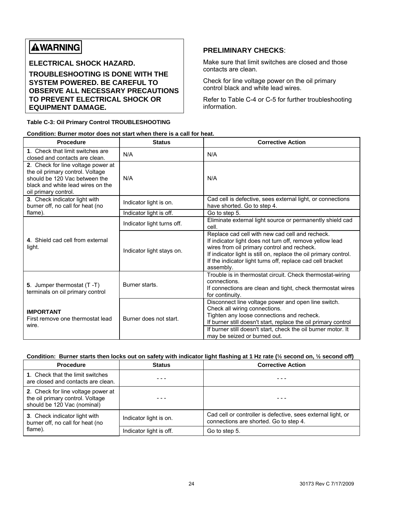# **AWARNING**

**ELECTRICAL SHOCK HAZARD.** 

**TROUBLESHOOTING IS DONE WITH THE SYSTEM POWERED. BE CAREFUL TO OBSERVE ALL NECESSARY PRECAUTIONS TO PREVENT ELECTRICAL SHOCK OR EQUIPMENT DAMAGE.** 

#### **Table C-3: Oil Primary Control TROUBLESHOOTING**

#### **PRELIMINARY CHECKS**:

Make sure that limit switches are closed and those contacts are clean.

Check for line voltage power on the oil primary control black and white lead wires.

Refer to Table C-4 or C-5 for further troubleshooting information.

|  | Condition: Burner motor does not start when there is a call for heat. |
|--|-----------------------------------------------------------------------|
|  |                                                                       |

| <b>Procedure</b>                                                                                                                                                     | <b>Status</b>              | <b>Corrective Action</b>                                                                                                                                                                                                                                                                                  |
|----------------------------------------------------------------------------------------------------------------------------------------------------------------------|----------------------------|-----------------------------------------------------------------------------------------------------------------------------------------------------------------------------------------------------------------------------------------------------------------------------------------------------------|
| 1. Check that limit switches are<br>closed and contacts are clean.                                                                                                   | N/A                        | N/A                                                                                                                                                                                                                                                                                                       |
| 2. Check for line voltage power at<br>the oil primary control. Voltage<br>should be 120 Vac between the<br>black and white lead wires on the<br>oil primary control. | N/A                        | N/A                                                                                                                                                                                                                                                                                                       |
| 3. Check indicator light with<br>burner off, no call for heat (no                                                                                                    | Indicator light is on.     | Cad cell is defective, sees external light, or connections<br>have shorted. Go to step 4.                                                                                                                                                                                                                 |
| flame).                                                                                                                                                              | Indicator light is off.    | Go to step 5.                                                                                                                                                                                                                                                                                             |
|                                                                                                                                                                      | Indicator light turns off. | Eliminate external light source or permanently shield cad<br>cell.                                                                                                                                                                                                                                        |
| 4. Shield cad cell from external<br>light.                                                                                                                           | Indicator light stays on.  | Replace cad cell with new cad cell and recheck.<br>If indicator light does not turn off, remove yellow lead<br>wires from oil primary control and recheck.<br>If indicator light is still on, replace the oil primary control.<br>If the indicator light turns off, replace cad cell bracket<br>assembly. |
| 5. Jumper thermostat (T-T)<br>terminals on oil primary control                                                                                                       | Burner starts.             | Trouble is in thermostat circuit. Check thermostat-wiring<br>connections.<br>If connections are clean and tight, check thermostat wires<br>for continuity.                                                                                                                                                |
| <b>IMPORTANT</b><br>First remove one thermostat lead<br>wire.                                                                                                        | Burner does not start.     | Disconnect line voltage power and open line switch.<br>Check all wiring connections.<br>Tighten any loose connections and recheck.<br>If burner still doesn't start, replace the oil primary control<br>If burner still doesn't start, check the oil burner motor. It<br>may be seized or burned out.     |

#### **Condition: Burner starts then locks out on safety with indicator light flashing at 1 Hz rate (½ second on, ½ second off)**

| <b>Procedure</b>                                                                                      | <b>Status</b>           | <b>Corrective Action</b>                                                                               |
|-------------------------------------------------------------------------------------------------------|-------------------------|--------------------------------------------------------------------------------------------------------|
| 1. Check that the limit switches<br>are closed and contacts are clean.                                |                         |                                                                                                        |
| 2. Check for line voltage power at<br>the oil primary control. Voltage<br>should be 120 Vac (nominal) |                         |                                                                                                        |
| 3. Check indicator light with<br>burner off, no call for heat (no                                     | Indicator light is on.  | Cad cell or controller is defective, sees external light, or<br>connections are shorted. Go to step 4. |
| flame).                                                                                               | Indicator light is off. | Go to step 5.                                                                                          |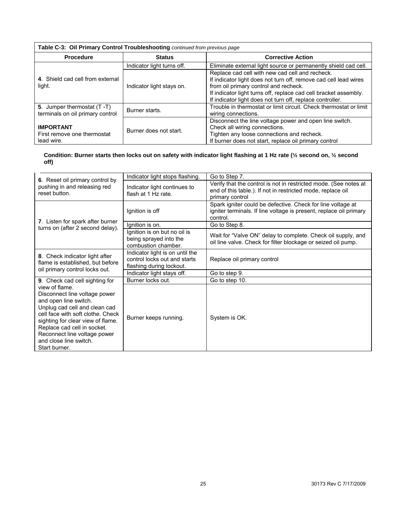### **Table C-3: Oil Primary Control Troubleshooting** *continued from previous page*

| <b>Procedure</b>                                               | <b>Status</b>              | <b>Corrective Action</b>                                                                                                                                                                                                                                                                      |  |  |  |
|----------------------------------------------------------------|----------------------------|-----------------------------------------------------------------------------------------------------------------------------------------------------------------------------------------------------------------------------------------------------------------------------------------------|--|--|--|
|                                                                | Indicator light turns off. | Eliminate external light source or permanently shield cad cell.                                                                                                                                                                                                                               |  |  |  |
| 4. Shield cad cell from external<br>light.                     | Indicator light stays on.  | Replace cad cell with new cad cell and recheck.<br>If indicator light does not turn off, remove cad cell lead wires<br>from oil primary control and recheck.<br>If indicator light turns off, replace cad cell bracket assembly.<br>If indicator light does not turn off, replace controller. |  |  |  |
| 5. Jumper thermostat (T-T)<br>terminals on oil primary control | Burner starts.             | Trouble in thermostat or limit circuit. Check thermostat or limit<br>wiring connections.                                                                                                                                                                                                      |  |  |  |
| <b>IMPORTANT</b><br>First remove one thermostat<br>lead wire.  | Burner does not start.     | Disconnect the line voltage power and open line switch.<br>Check all wiring connections.<br>Tighten any loose connections and recheck.<br>If burner does not start, replace oil primary control                                                                                               |  |  |  |

#### **Condition: Burner starts then locks out on safety with indicator light flashing at 1 Hz rate (½ second on, ½ second off)**

|                                                                                                                                                                                                                                                                                               | Indicator light stops flashing.                                                             | Go to Step 7.                                                                                                                                      |
|-----------------------------------------------------------------------------------------------------------------------------------------------------------------------------------------------------------------------------------------------------------------------------------------------|---------------------------------------------------------------------------------------------|----------------------------------------------------------------------------------------------------------------------------------------------------|
| 6. Reset oil primary control by<br>pushing in and releasing red<br>reset button.                                                                                                                                                                                                              | Indicator light continues to<br>flash at 1 Hz rate.                                         | Verify that the control is not in restricted mode. (See notes at<br>end of this table.). If not in restricted mode, replace oil<br>primary control |
|                                                                                                                                                                                                                                                                                               | Ignition is off                                                                             | Spark igniter could be defective. Check for line voltage at<br>igniter terminals. If line voltage is present, replace oil primary<br>control.      |
| 7. Listen for spark after burner<br>turns on (after 2 second delay).                                                                                                                                                                                                                          | Ignition is on.                                                                             | Go to Step 8.                                                                                                                                      |
|                                                                                                                                                                                                                                                                                               | Ignition is on but no oil is<br>being sprayed into the<br>combustion chamber.               | Wait for "Valve ON" delay to complete. Check oil supply, and<br>oil line valve. Check for filter blockage or seized oil pump.                      |
| 8. Check indicator light after<br>flame is established, but before<br>oil primary control locks out.                                                                                                                                                                                          | Indicator light is on until the<br>control locks out and starts<br>flashing during lockout. | Replace oil primary control                                                                                                                        |
|                                                                                                                                                                                                                                                                                               | Indicator light stays off.                                                                  | Go to step 9.                                                                                                                                      |
| 9. Check cad cell sighting for                                                                                                                                                                                                                                                                | Burner locks out.                                                                           | Go to step 10.                                                                                                                                     |
| view of flame.<br>Disconnect line voltage power<br>and open line switch.<br>Unplug cad cell and clean cad<br>cell face with soft clothe. Check<br>sighting for clear view of flame.<br>Replace cad cell in socket.<br>Reconnect line voltage power<br>and close line switch.<br>Start burner. | Burner keeps running.                                                                       | System is OK.                                                                                                                                      |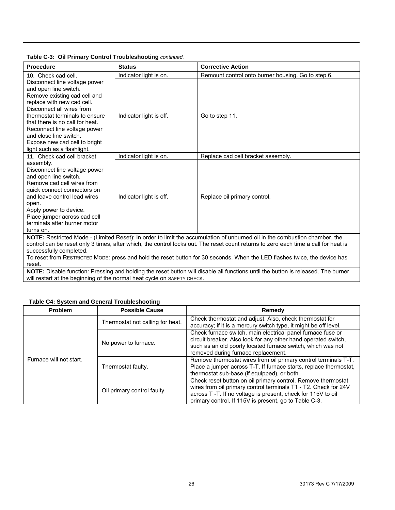#### **Table C-3: Oil Primary Control Troubleshooting** *continued.*

| <b>Procedure</b>                                                                                                                                                                                                                                                                                                                                                                                                          | <b>Status</b>           | <b>Corrective Action</b>                           |  |  |
|---------------------------------------------------------------------------------------------------------------------------------------------------------------------------------------------------------------------------------------------------------------------------------------------------------------------------------------------------------------------------------------------------------------------------|-------------------------|----------------------------------------------------|--|--|
| 10. Check cad cell.                                                                                                                                                                                                                                                                                                                                                                                                       | Indicator light is on.  | Remount control onto burner housing. Go to step 6. |  |  |
| Disconnect line voltage power<br>and open line switch.<br>Remove existing cad cell and<br>replace with new cad cell.<br>Disconnect all wires from<br>thermostat terminals to ensure<br>that there is no call for heat.<br>Reconnect line voltage power<br>and close line switch.<br>Expose new cad cell to bright<br>light such as a flashlight.                                                                          | Indicator light is off. | Go to step 11.                                     |  |  |
| 11. Check cad cell bracket                                                                                                                                                                                                                                                                                                                                                                                                | Indicator light is on.  | Replace cad cell bracket assembly.                 |  |  |
| assembly.<br>Disconnect line voltage power<br>and open line switch.<br>Remove cad cell wires from<br>quick connect connectors on<br>and leave control lead wires<br>open.<br>Apply power to device.<br>Place jumper across cad cell<br>terminals after burner motor<br>turns on.                                                                                                                                          | Indicator light is off. | Replace oil primary control.                       |  |  |
| NOTE: Restricted Mode - (Limited Reset): In order to limit the accumulation of unburned oil in the combustion chamber, the<br>control can be reset only 3 times, after which, the control locks out. The reset count returns to zero each time a call for heat is<br>successfully completed.<br>To reset from RESTRICTED MODE: press and hold the reset button for 30 seconds. When the LED flashes twice, the device has |                         |                                                    |  |  |

reset.

**NOTE:** Disable function: Pressing and holding the reset button will disable all functions until the button is released. The burner will restart at the beginning of the normal heat cycle on SAFETY CHECK.

#### **Table C4: System and General Troubleshooting**

| <b>Problem</b>          | <b>Possible Cause</b>            | Remedy                                                                                                                                                                                                                                                                                                 |
|-------------------------|----------------------------------|--------------------------------------------------------------------------------------------------------------------------------------------------------------------------------------------------------------------------------------------------------------------------------------------------------|
|                         | Thermostat not calling for heat. | Check thermostat and adjust. Also, check thermostat for<br>accuracy; if it is a mercury switch type, it might be off level.                                                                                                                                                                            |
| Furnace will not start. | No power to furnace.             | Check furnace switch, main electrical panel furnace fuse or<br>circuit breaker. Also look for any other hand operated switch,<br>such as an old poorly located furnace switch, which was not<br>removed during furnace replacement.<br>Remove thermostat wires from oil primary control terminals T-T. |
|                         | Thermostat faulty.               | Place a jumper across T-T. If furnace starts, replace thermostat,<br>thermostat sub-base (if equipped), or both.                                                                                                                                                                                       |
|                         | Oil primary control faulty.      | Check reset button on oil primary control. Remove thermostat<br>wires from oil primary control terminals T1 - T2. Check for 24V<br>across T-T. If no voltage is present, check for 115V to oil<br>primary control. If 115V is present, go to Table C-3.                                                |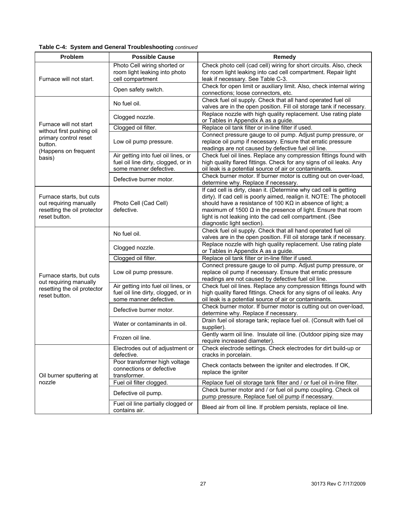| Problem                                                                                                                                   | <b>Possible Cause</b>                                                                                | Remedy                                                                                                                                                                                                                                                                                                                                                                           |
|-------------------------------------------------------------------------------------------------------------------------------------------|------------------------------------------------------------------------------------------------------|----------------------------------------------------------------------------------------------------------------------------------------------------------------------------------------------------------------------------------------------------------------------------------------------------------------------------------------------------------------------------------|
| Furnace will not start.                                                                                                                   | Photo Cell wiring shorted or<br>room light leaking into photo<br>cell compartment                    | Check photo cell (cad cell) wiring for short circuits. Also, check<br>for room light leaking into cad cell compartment. Repair light<br>leak if necessary. See Table C-3.                                                                                                                                                                                                        |
|                                                                                                                                           | Open safety switch.                                                                                  | Check for open limit or auxiliary limit. Also, check internal wiring<br>connections; loose connectors, etc.                                                                                                                                                                                                                                                                      |
|                                                                                                                                           | No fuel oil.                                                                                         | Check fuel oil supply. Check that all hand operated fuel oil<br>valves are in the open position. Fill oil storage tank if necessary.                                                                                                                                                                                                                                             |
|                                                                                                                                           | Clogged nozzle.                                                                                      | Replace nozzle with high quality replacement. Use rating plate<br>or Tables in Appendix A as a guide.                                                                                                                                                                                                                                                                            |
| Furnace will not start<br>without first pushing oil                                                                                       | Clogged oil filter.                                                                                  | Replace oil tank filter or in-line filter if used.                                                                                                                                                                                                                                                                                                                               |
| primary control reset<br>button.                                                                                                          | Low oil pump pressure.                                                                               | Connect pressure gauge to oil pump. Adjust pump pressure, or<br>replace oil pump if necessary. Ensure that erratic pressure<br>readings are not caused by defective fuel oil line.                                                                                                                                                                                               |
| (Happens on frequent<br>basis)                                                                                                            | Air getting into fuel oil lines, or<br>fuel oil line dirty, clogged, or in<br>some manner defective. | Check fuel oil lines. Replace any compression fittings found with<br>high quality flared fittings. Check for any signs of oil leaks. Any<br>oil leak is a potential source of air or contaminants.                                                                                                                                                                               |
|                                                                                                                                           | Defective burner motor.                                                                              | Check burner motor. If burner motor is cutting out on over-load,<br>determine why. Replace if necessary.                                                                                                                                                                                                                                                                         |
| Furnace starts, but cuts<br>out requiring manually<br>Photo Cell (Cad Cell)<br>resetting the oil protector<br>defective.<br>reset button. |                                                                                                      | If cad cell is dirty, clean it. (Determine why cad cell is getting<br>dirty). If cad cell is poorly aimed, realign it. NOTE: The photocell<br>should have a resistance of 100 K $\Omega$ in absence of light; a<br>maximum of 1500 $\Omega$ in the presence of light. Ensure that room<br>light is not leaking into the cad cell compartment. (See<br>diagnostic light section). |
|                                                                                                                                           | No fuel oil.                                                                                         | Check fuel oil supply. Check that all hand operated fuel oil<br>valves are in the open position. Fill oil storage tank if necessary.                                                                                                                                                                                                                                             |
|                                                                                                                                           | Clogged nozzle.                                                                                      | Replace nozzle with high quality replacement. Use rating plate<br>or Tables in Appendix A as a guide.                                                                                                                                                                                                                                                                            |
|                                                                                                                                           | Clogged oil filter.                                                                                  | Replace oil tank filter or in-line filter if used.                                                                                                                                                                                                                                                                                                                               |
| Furnace starts, but cuts<br>out requiring manually                                                                                        | Low oil pump pressure.                                                                               | Connect pressure gauge to oil pump. Adjust pump pressure, or<br>replace oil pump if necessary. Ensure that erratic pressure<br>readings are not caused by defective fuel oil line.                                                                                                                                                                                               |
| resetting the oil protector<br>reset button.                                                                                              | Air getting into fuel oil lines, or<br>fuel oil line dirty, clogged, or in<br>some manner defective. | Check fuel oil lines. Replace any compression fittings found with<br>high quality flared fittings. Check for any signs of oil leaks. Any<br>oil leak is a potential source of air or contaminants.                                                                                                                                                                               |
|                                                                                                                                           | Defective burner motor.                                                                              | Check burner motor. If burner motor is cutting out on over-load,<br>determine why. Replace if necessary.                                                                                                                                                                                                                                                                         |
|                                                                                                                                           | Water or contaminants in oil.                                                                        | Drain fuel oil storage tank; replace fuel oil. (Consult with fuel oil<br>supplier).                                                                                                                                                                                                                                                                                              |
|                                                                                                                                           | Frozen oil line.                                                                                     | Gently warm oil line. Insulate oil line. (Outdoor piping size may<br>require increased diameter).                                                                                                                                                                                                                                                                                |
|                                                                                                                                           | Electrodes out of adjustment or<br>defective.                                                        | Check electrode settings. Check electrodes for dirt build-up or<br>cracks in porcelain.                                                                                                                                                                                                                                                                                          |
| Oil burner sputtering at                                                                                                                  | Poor transformer high voltage<br>connections or defective<br>transformer.                            | Check contacts between the igniter and electrodes. If OK,<br>replace the igniter                                                                                                                                                                                                                                                                                                 |
| nozzle                                                                                                                                    | Fuel oil filter clogged.                                                                             | Replace fuel oil storage tank filter and / or fuel oil in-line filter.                                                                                                                                                                                                                                                                                                           |
|                                                                                                                                           | Defective oil pump.                                                                                  | Check burner motor and / or fuel oil pump coupling. Check oil<br>pump pressure. Replace fuel oil pump if necessary.                                                                                                                                                                                                                                                              |
|                                                                                                                                           | Fuel oil line partially clogged or<br>contains air.                                                  | Bleed air from oil line. If problem persists, replace oil line.                                                                                                                                                                                                                                                                                                                  |

#### **Table C-4: System and General Troubleshooting** *continued*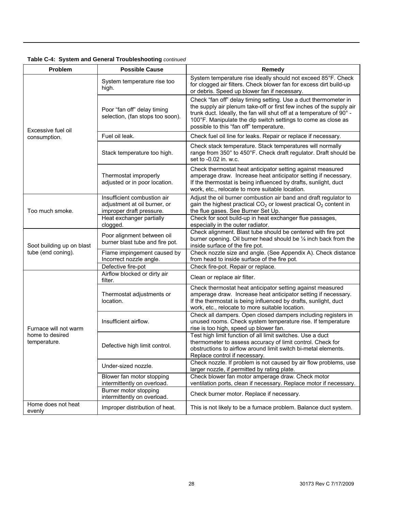|  |  |  | Table C-4: System and General Troubleshooting continued |  |
|--|--|--|---------------------------------------------------------|--|
|--|--|--|---------------------------------------------------------|--|

| Problem                         | <b>Possible Cause</b>                                                                   | Remedy                                                                                                                                                                                                                                                                                                                      |
|---------------------------------|-----------------------------------------------------------------------------------------|-----------------------------------------------------------------------------------------------------------------------------------------------------------------------------------------------------------------------------------------------------------------------------------------------------------------------------|
|                                 | System temperature rise too<br>high.                                                    | System temperature rise ideally should not exceed 85°F. Check<br>for clogged air filters. Check blower fan for excess dirt build-up<br>or debris. Speed up blower fan if necessary.                                                                                                                                         |
| Excessive fuel oil              | Poor "fan off" delay timing<br>selection, (fan stops too soon).                         | Check "fan off" delay timing setting. Use a duct thermometer in<br>the supply air plenum take-off or first few inches of the supply air<br>trunk duct. Ideally, the fan will shut off at a temperature of 90° -<br>100°F. Manipulate the dip switch settings to come as close as<br>possible to this "fan off" temperature. |
| consumption.                    | Fuel oil leak.                                                                          | Check fuel oil line for leaks. Repair or replace if necessary.                                                                                                                                                                                                                                                              |
|                                 | Stack temperature too high.                                                             | Check stack temperature. Stack temperatures will normally<br>range from 350° to 450°F. Check draft regulator. Draft should be<br>set to -0.02 in. w.c.                                                                                                                                                                      |
|                                 | Thermostat improperly<br>adjusted or in poor location.                                  | Check thermostat heat anticipator setting against measured<br>amperage draw. Increase heat anticipator setting if necessary.<br>If the thermostat is being influenced by drafts, sunlight, duct<br>work, etc., relocate to more suitable location.                                                                          |
| Too much smoke.                 | Insufficient combustion air<br>adjustment at oil burner, or<br>improper draft pressure. | Adjust the oil burner combustion air band and draft regulator to<br>gain the highest practical $CO2$ or lowest practical $O2$ content in<br>the flue gases. See Burner Set Up.                                                                                                                                              |
|                                 | Heat exchanger partially<br>clogged.                                                    | Check for soot build-up in heat exchanger flue passages,<br>especially in the outer radiator.                                                                                                                                                                                                                               |
| Soot building up on blast       | Poor alignment between oil<br>burner blast tube and fire pot.                           | Check alignment. Blast tube should be centered with fire pot<br>burner opening. Oil burner head should be 1/4 inch back from the<br>inside surface of the fire pot.                                                                                                                                                         |
| tube (end coning).              | Flame impingement caused by<br>Incorrect nozzle angle.                                  | Check nozzle size and angle. (See Appendix A). Check distance<br>from head to inside surface of the fire pot.                                                                                                                                                                                                               |
|                                 | Defective fire-pot                                                                      | Check fire-pot. Repair or replace.                                                                                                                                                                                                                                                                                          |
|                                 | Airflow blocked or dirty air<br>filter.                                                 | Clean or replace air filter.                                                                                                                                                                                                                                                                                                |
|                                 | Thermostat adjustments or<br>location.                                                  | Check thermostat heat anticipator setting against measured<br>amperage draw. Increase heat anticipator setting if necessary.<br>If the thermostat is being influenced by drafts, sunlight, duct<br>work, etc., relocate to more suitable location.                                                                          |
| Furnace will not warm           | Insufficient airflow.                                                                   | Check all dampers. Open closed dampers including registers in<br>unused rooms. Check system temperature rise. If temperature<br>rise is too high, speed up blower fan.                                                                                                                                                      |
| home to desired<br>temperature. | Defective high limit control.                                                           | Test high limit function of all limit switches. Use a duct<br>thermometer to assess accuracy of limit control. Check for<br>obstructions to airflow around limit switch bi-metal elements.<br>Replace control if necessary.                                                                                                 |
|                                 | Under-sized nozzle.                                                                     | Check nozzle. If problem is not caused by air flow problems, use<br>larger nozzle, if permitted by rating plate.                                                                                                                                                                                                            |
|                                 | Blower fan motor stopping<br>intermittently on overload.                                | Check blower fan motor amperage draw. Check motor<br>ventilation ports, clean if necessary. Replace motor if necessary.                                                                                                                                                                                                     |
|                                 | Burner motor stopping<br>intermittently on overload.                                    | Check burner motor. Replace if necessary.                                                                                                                                                                                                                                                                                   |
| Home does not heat<br>evenly    | Improper distribution of heat.                                                          | This is not likely to be a furnace problem. Balance duct system.                                                                                                                                                                                                                                                            |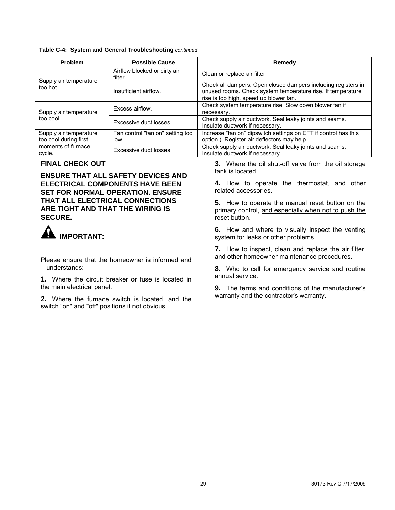#### <span id="page-28-0"></span>**Table C-4: System and General Troubleshooting** *continued*

| <b>Problem</b>                                  | <b>Possible Cause</b>                    | Remedy                                                                                                                                                                 |
|-------------------------------------------------|------------------------------------------|------------------------------------------------------------------------------------------------------------------------------------------------------------------------|
| Supply air temperature                          | Airflow blocked or dirty air<br>filter.  | Clean or replace air filter.                                                                                                                                           |
| too hot.                                        | Insufficient airflow.                    | Check all dampers. Open closed dampers including registers in<br>unused rooms. Check system temperature rise. If temperature<br>rise is too high, speed up blower fan. |
| Supply air temperature                          | Excess airflow.                          | Check system temperature rise. Slow down blower fan if<br>necessary.                                                                                                   |
| too cool.                                       | Excessive duct losses.                   | Check supply air ductwork. Seal leaky joints and seams.<br>Insulate ductwork if necessary.                                                                             |
| Supply air temperature<br>too cool during first | Fan control "fan on" setting too<br>low. | Increase "fan on" dipswitch settings on EFT if control has this<br>option.). Register air deflectors may help.                                                         |
| moments of furnace<br>cycle.                    | Excessive duct losses.                   | Check supply air ductwork. Seal leaky joints and seams.<br>Insulate ductwork if necessary.                                                                             |

**ENSURE THAT ALL SAFETY DEVICES AND ELECTRICAL COMPONENTS HAVE BEEN SET FOR NORMAL OPERATION. ENSURE THAT ALL ELECTRICAL CONNECTIONS ARE TIGHT AND THAT THE WIRING IS SECURE.**



and other homeowner maintenance procedures. Please ensure that the homeowner is informed and

annual service. **1.** Where the circuit breaker or fuse is located in the main electrical panel. **9.** The terms and conditions of the manufacturer's

warranty and the contractor's warranty. **2.** Where the furnace switch is located, and the switch "on" and "off" positions if not obvious.

**FINAL CHECK OUT**<br> **3.** Where the oil shut-off valve from the oil storage<br>
tank is located.

**4.** How to operate the thermostat, and other related accessories.

**5.** How to operate the manual reset button on the primary control, and especially when not to push the reset button.

**6.** How and where to visually inspect the venting **IMPORTANT: IMPORTANT:** system for leaks or other problems.

**7.** How to inspect, clean and replace the air filter,

understands: **8.** Who to call for emergency service and routine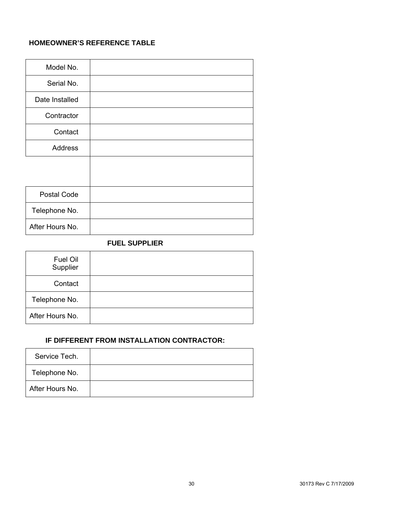#### <span id="page-29-0"></span>**HOMEOWNER'S REFERENCE TABLE**

| Model No.       |  |
|-----------------|--|
| Serial No.      |  |
| Date Installed  |  |
| Contractor      |  |
| Contact         |  |
| Address         |  |
|                 |  |
|                 |  |
| Postal Code     |  |
| Telephone No.   |  |
| After Hours No. |  |

#### **FUEL SUPPLIER**

| Fuel Oil<br>Supplier |  |
|----------------------|--|
| Contact              |  |
| Telephone No.        |  |
| After Hours No.      |  |

#### **IF DIFFERENT FROM INSTALLATION CONTRACTOR:**

| Service Tech.   |  |
|-----------------|--|
| Telephone No.   |  |
| After Hours No. |  |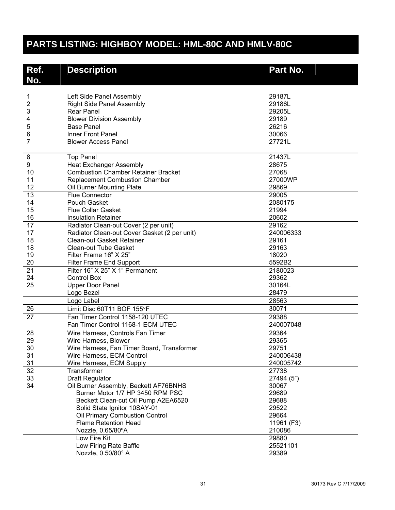# <span id="page-30-0"></span>**PARTS LISTING: HIGHBOY MODEL: HML-80C AND HMLV-80C**

| No.<br>Left Side Panel Assembly<br>29187L<br>1<br>2<br>29186L<br><b>Right Side Panel Assembly</b><br>3<br><b>Rear Panel</b><br>29205L<br>29189<br><b>Blower Division Assembly</b><br>4<br>5<br>26216<br><b>Base Panel</b><br>Inner Front Panel<br>30066<br>6<br>$\overline{7}$<br>27721L<br><b>Blower Access Panel</b><br>21437L<br>8<br><b>Top Panel</b><br>9<br><b>Heat Exchanger Assembly</b><br>28675<br><b>Combustion Chamber Retainer Bracket</b><br>27068<br>10<br>11<br><b>Replacement Combustion Chamber</b><br>27000WP<br>12<br>Oil Burner Mounting Plate<br>29869<br>$\overline{13}$<br><b>Flue Connector</b><br>29005<br>14<br>Pouch Gasket<br>2080175<br>15<br><b>Flue Collar Gasket</b><br>21994<br>16<br>20602<br><b>Insulation Retainer</b><br>$\overline{17}$<br>Radiator Clean-out Cover (2 per unit)<br>29162<br>17<br>Radiator Clean-out Cover Gasket (2 per unit)<br>240006333<br>18<br><b>Clean-out Gasket Retainer</b><br>29161<br>18<br><b>Clean-out Tube Gasket</b><br>29163<br>19<br>Filter Frame 16" X 25"<br>18020<br>20<br><b>Filter Frame End Support</b><br>5592B2<br>21<br>Filter 16" X 25" X 1" Permanent<br>2180023<br>24<br><b>Control Box</b><br>29362<br>25<br><b>Upper Door Panel</b><br>30164L<br>28479<br>Logo Bezel<br>Logo Label<br>28563<br>26<br>30071<br>Limit Disc 60T11 BOF 155°F<br>27<br>Fan Timer Control 1158-120 UTEC<br>29388<br>Fan Timer Control 1168-1 ECM UTEC<br>240007048<br>29364<br>28<br>Wire Harness, Controls Fan Timer<br>29<br>29365<br>Wire Harness, Blower<br>30<br>29751<br>Wire Harness, Fan Timer Board, Transformer<br>31<br>Wire Harness, ECM Control<br>240006438<br>31<br>Wire Harness, ECM Supply<br>240005742<br>32<br>Transformer<br>27738<br>33<br><b>Draft Regulator</b><br>27494 (5")<br>34<br>Oil Burner Assembly, Beckett AF76BNHS<br>30067<br>Burner Motor 1/7 HP 3450 RPM PSC<br>29689<br>Beckett Clean-cut Oil Pump A2EA6520<br>29688<br>Solid State Ignitor 10SAY-01<br>29522<br>Oil Primary Combustion Control<br>29664<br><b>Flame Retention Head</b><br>11961 (F3)<br>Nozzle, 0.65/80°A<br>210086<br>Low Fire Kit<br>29880<br>Low Firing Rate Baffle<br>25521101 | Ref. | <b>Description</b> | Part No. |
|------------------------------------------------------------------------------------------------------------------------------------------------------------------------------------------------------------------------------------------------------------------------------------------------------------------------------------------------------------------------------------------------------------------------------------------------------------------------------------------------------------------------------------------------------------------------------------------------------------------------------------------------------------------------------------------------------------------------------------------------------------------------------------------------------------------------------------------------------------------------------------------------------------------------------------------------------------------------------------------------------------------------------------------------------------------------------------------------------------------------------------------------------------------------------------------------------------------------------------------------------------------------------------------------------------------------------------------------------------------------------------------------------------------------------------------------------------------------------------------------------------------------------------------------------------------------------------------------------------------------------------------------------------------------------------------------------------------------------------------------------------------------------------------------------------------------------------------------------------------------------------------------------------------------------------------------------------------------------------------------------------------------------------------------------------------------------------------------------------------------------------------------------------|------|--------------------|----------|
|                                                                                                                                                                                                                                                                                                                                                                                                                                                                                                                                                                                                                                                                                                                                                                                                                                                                                                                                                                                                                                                                                                                                                                                                                                                                                                                                                                                                                                                                                                                                                                                                                                                                                                                                                                                                                                                                                                                                                                                                                                                                                                                                                            |      |                    |          |
|                                                                                                                                                                                                                                                                                                                                                                                                                                                                                                                                                                                                                                                                                                                                                                                                                                                                                                                                                                                                                                                                                                                                                                                                                                                                                                                                                                                                                                                                                                                                                                                                                                                                                                                                                                                                                                                                                                                                                                                                                                                                                                                                                            |      |                    |          |
|                                                                                                                                                                                                                                                                                                                                                                                                                                                                                                                                                                                                                                                                                                                                                                                                                                                                                                                                                                                                                                                                                                                                                                                                                                                                                                                                                                                                                                                                                                                                                                                                                                                                                                                                                                                                                                                                                                                                                                                                                                                                                                                                                            |      |                    |          |
|                                                                                                                                                                                                                                                                                                                                                                                                                                                                                                                                                                                                                                                                                                                                                                                                                                                                                                                                                                                                                                                                                                                                                                                                                                                                                                                                                                                                                                                                                                                                                                                                                                                                                                                                                                                                                                                                                                                                                                                                                                                                                                                                                            |      |                    |          |
|                                                                                                                                                                                                                                                                                                                                                                                                                                                                                                                                                                                                                                                                                                                                                                                                                                                                                                                                                                                                                                                                                                                                                                                                                                                                                                                                                                                                                                                                                                                                                                                                                                                                                                                                                                                                                                                                                                                                                                                                                                                                                                                                                            |      |                    |          |
|                                                                                                                                                                                                                                                                                                                                                                                                                                                                                                                                                                                                                                                                                                                                                                                                                                                                                                                                                                                                                                                                                                                                                                                                                                                                                                                                                                                                                                                                                                                                                                                                                                                                                                                                                                                                                                                                                                                                                                                                                                                                                                                                                            |      |                    |          |
|                                                                                                                                                                                                                                                                                                                                                                                                                                                                                                                                                                                                                                                                                                                                                                                                                                                                                                                                                                                                                                                                                                                                                                                                                                                                                                                                                                                                                                                                                                                                                                                                                                                                                                                                                                                                                                                                                                                                                                                                                                                                                                                                                            |      |                    |          |
|                                                                                                                                                                                                                                                                                                                                                                                                                                                                                                                                                                                                                                                                                                                                                                                                                                                                                                                                                                                                                                                                                                                                                                                                                                                                                                                                                                                                                                                                                                                                                                                                                                                                                                                                                                                                                                                                                                                                                                                                                                                                                                                                                            |      |                    |          |
|                                                                                                                                                                                                                                                                                                                                                                                                                                                                                                                                                                                                                                                                                                                                                                                                                                                                                                                                                                                                                                                                                                                                                                                                                                                                                                                                                                                                                                                                                                                                                                                                                                                                                                                                                                                                                                                                                                                                                                                                                                                                                                                                                            |      |                    |          |
|                                                                                                                                                                                                                                                                                                                                                                                                                                                                                                                                                                                                                                                                                                                                                                                                                                                                                                                                                                                                                                                                                                                                                                                                                                                                                                                                                                                                                                                                                                                                                                                                                                                                                                                                                                                                                                                                                                                                                                                                                                                                                                                                                            |      |                    |          |
|                                                                                                                                                                                                                                                                                                                                                                                                                                                                                                                                                                                                                                                                                                                                                                                                                                                                                                                                                                                                                                                                                                                                                                                                                                                                                                                                                                                                                                                                                                                                                                                                                                                                                                                                                                                                                                                                                                                                                                                                                                                                                                                                                            |      |                    |          |
|                                                                                                                                                                                                                                                                                                                                                                                                                                                                                                                                                                                                                                                                                                                                                                                                                                                                                                                                                                                                                                                                                                                                                                                                                                                                                                                                                                                                                                                                                                                                                                                                                                                                                                                                                                                                                                                                                                                                                                                                                                                                                                                                                            |      |                    |          |
|                                                                                                                                                                                                                                                                                                                                                                                                                                                                                                                                                                                                                                                                                                                                                                                                                                                                                                                                                                                                                                                                                                                                                                                                                                                                                                                                                                                                                                                                                                                                                                                                                                                                                                                                                                                                                                                                                                                                                                                                                                                                                                                                                            |      |                    |          |
|                                                                                                                                                                                                                                                                                                                                                                                                                                                                                                                                                                                                                                                                                                                                                                                                                                                                                                                                                                                                                                                                                                                                                                                                                                                                                                                                                                                                                                                                                                                                                                                                                                                                                                                                                                                                                                                                                                                                                                                                                                                                                                                                                            |      |                    |          |
|                                                                                                                                                                                                                                                                                                                                                                                                                                                                                                                                                                                                                                                                                                                                                                                                                                                                                                                                                                                                                                                                                                                                                                                                                                                                                                                                                                                                                                                                                                                                                                                                                                                                                                                                                                                                                                                                                                                                                                                                                                                                                                                                                            |      |                    |          |
|                                                                                                                                                                                                                                                                                                                                                                                                                                                                                                                                                                                                                                                                                                                                                                                                                                                                                                                                                                                                                                                                                                                                                                                                                                                                                                                                                                                                                                                                                                                                                                                                                                                                                                                                                                                                                                                                                                                                                                                                                                                                                                                                                            |      |                    |          |
|                                                                                                                                                                                                                                                                                                                                                                                                                                                                                                                                                                                                                                                                                                                                                                                                                                                                                                                                                                                                                                                                                                                                                                                                                                                                                                                                                                                                                                                                                                                                                                                                                                                                                                                                                                                                                                                                                                                                                                                                                                                                                                                                                            |      |                    |          |
|                                                                                                                                                                                                                                                                                                                                                                                                                                                                                                                                                                                                                                                                                                                                                                                                                                                                                                                                                                                                                                                                                                                                                                                                                                                                                                                                                                                                                                                                                                                                                                                                                                                                                                                                                                                                                                                                                                                                                                                                                                                                                                                                                            |      |                    |          |
|                                                                                                                                                                                                                                                                                                                                                                                                                                                                                                                                                                                                                                                                                                                                                                                                                                                                                                                                                                                                                                                                                                                                                                                                                                                                                                                                                                                                                                                                                                                                                                                                                                                                                                                                                                                                                                                                                                                                                                                                                                                                                                                                                            |      |                    |          |
|                                                                                                                                                                                                                                                                                                                                                                                                                                                                                                                                                                                                                                                                                                                                                                                                                                                                                                                                                                                                                                                                                                                                                                                                                                                                                                                                                                                                                                                                                                                                                                                                                                                                                                                                                                                                                                                                                                                                                                                                                                                                                                                                                            |      |                    |          |
|                                                                                                                                                                                                                                                                                                                                                                                                                                                                                                                                                                                                                                                                                                                                                                                                                                                                                                                                                                                                                                                                                                                                                                                                                                                                                                                                                                                                                                                                                                                                                                                                                                                                                                                                                                                                                                                                                                                                                                                                                                                                                                                                                            |      |                    |          |
|                                                                                                                                                                                                                                                                                                                                                                                                                                                                                                                                                                                                                                                                                                                                                                                                                                                                                                                                                                                                                                                                                                                                                                                                                                                                                                                                                                                                                                                                                                                                                                                                                                                                                                                                                                                                                                                                                                                                                                                                                                                                                                                                                            |      |                    |          |
|                                                                                                                                                                                                                                                                                                                                                                                                                                                                                                                                                                                                                                                                                                                                                                                                                                                                                                                                                                                                                                                                                                                                                                                                                                                                                                                                                                                                                                                                                                                                                                                                                                                                                                                                                                                                                                                                                                                                                                                                                                                                                                                                                            |      |                    |          |
|                                                                                                                                                                                                                                                                                                                                                                                                                                                                                                                                                                                                                                                                                                                                                                                                                                                                                                                                                                                                                                                                                                                                                                                                                                                                                                                                                                                                                                                                                                                                                                                                                                                                                                                                                                                                                                                                                                                                                                                                                                                                                                                                                            |      |                    |          |
|                                                                                                                                                                                                                                                                                                                                                                                                                                                                                                                                                                                                                                                                                                                                                                                                                                                                                                                                                                                                                                                                                                                                                                                                                                                                                                                                                                                                                                                                                                                                                                                                                                                                                                                                                                                                                                                                                                                                                                                                                                                                                                                                                            |      |                    |          |
|                                                                                                                                                                                                                                                                                                                                                                                                                                                                                                                                                                                                                                                                                                                                                                                                                                                                                                                                                                                                                                                                                                                                                                                                                                                                                                                                                                                                                                                                                                                                                                                                                                                                                                                                                                                                                                                                                                                                                                                                                                                                                                                                                            |      |                    |          |
|                                                                                                                                                                                                                                                                                                                                                                                                                                                                                                                                                                                                                                                                                                                                                                                                                                                                                                                                                                                                                                                                                                                                                                                                                                                                                                                                                                                                                                                                                                                                                                                                                                                                                                                                                                                                                                                                                                                                                                                                                                                                                                                                                            |      |                    |          |
|                                                                                                                                                                                                                                                                                                                                                                                                                                                                                                                                                                                                                                                                                                                                                                                                                                                                                                                                                                                                                                                                                                                                                                                                                                                                                                                                                                                                                                                                                                                                                                                                                                                                                                                                                                                                                                                                                                                                                                                                                                                                                                                                                            |      |                    |          |
|                                                                                                                                                                                                                                                                                                                                                                                                                                                                                                                                                                                                                                                                                                                                                                                                                                                                                                                                                                                                                                                                                                                                                                                                                                                                                                                                                                                                                                                                                                                                                                                                                                                                                                                                                                                                                                                                                                                                                                                                                                                                                                                                                            |      |                    |          |
|                                                                                                                                                                                                                                                                                                                                                                                                                                                                                                                                                                                                                                                                                                                                                                                                                                                                                                                                                                                                                                                                                                                                                                                                                                                                                                                                                                                                                                                                                                                                                                                                                                                                                                                                                                                                                                                                                                                                                                                                                                                                                                                                                            |      |                    |          |
|                                                                                                                                                                                                                                                                                                                                                                                                                                                                                                                                                                                                                                                                                                                                                                                                                                                                                                                                                                                                                                                                                                                                                                                                                                                                                                                                                                                                                                                                                                                                                                                                                                                                                                                                                                                                                                                                                                                                                                                                                                                                                                                                                            |      |                    |          |
|                                                                                                                                                                                                                                                                                                                                                                                                                                                                                                                                                                                                                                                                                                                                                                                                                                                                                                                                                                                                                                                                                                                                                                                                                                                                                                                                                                                                                                                                                                                                                                                                                                                                                                                                                                                                                                                                                                                                                                                                                                                                                                                                                            |      |                    |          |
|                                                                                                                                                                                                                                                                                                                                                                                                                                                                                                                                                                                                                                                                                                                                                                                                                                                                                                                                                                                                                                                                                                                                                                                                                                                                                                                                                                                                                                                                                                                                                                                                                                                                                                                                                                                                                                                                                                                                                                                                                                                                                                                                                            |      |                    |          |
|                                                                                                                                                                                                                                                                                                                                                                                                                                                                                                                                                                                                                                                                                                                                                                                                                                                                                                                                                                                                                                                                                                                                                                                                                                                                                                                                                                                                                                                                                                                                                                                                                                                                                                                                                                                                                                                                                                                                                                                                                                                                                                                                                            |      |                    |          |
|                                                                                                                                                                                                                                                                                                                                                                                                                                                                                                                                                                                                                                                                                                                                                                                                                                                                                                                                                                                                                                                                                                                                                                                                                                                                                                                                                                                                                                                                                                                                                                                                                                                                                                                                                                                                                                                                                                                                                                                                                                                                                                                                                            |      |                    |          |
|                                                                                                                                                                                                                                                                                                                                                                                                                                                                                                                                                                                                                                                                                                                                                                                                                                                                                                                                                                                                                                                                                                                                                                                                                                                                                                                                                                                                                                                                                                                                                                                                                                                                                                                                                                                                                                                                                                                                                                                                                                                                                                                                                            |      |                    |          |
|                                                                                                                                                                                                                                                                                                                                                                                                                                                                                                                                                                                                                                                                                                                                                                                                                                                                                                                                                                                                                                                                                                                                                                                                                                                                                                                                                                                                                                                                                                                                                                                                                                                                                                                                                                                                                                                                                                                                                                                                                                                                                                                                                            |      |                    |          |
|                                                                                                                                                                                                                                                                                                                                                                                                                                                                                                                                                                                                                                                                                                                                                                                                                                                                                                                                                                                                                                                                                                                                                                                                                                                                                                                                                                                                                                                                                                                                                                                                                                                                                                                                                                                                                                                                                                                                                                                                                                                                                                                                                            |      |                    |          |
|                                                                                                                                                                                                                                                                                                                                                                                                                                                                                                                                                                                                                                                                                                                                                                                                                                                                                                                                                                                                                                                                                                                                                                                                                                                                                                                                                                                                                                                                                                                                                                                                                                                                                                                                                                                                                                                                                                                                                                                                                                                                                                                                                            |      |                    |          |
|                                                                                                                                                                                                                                                                                                                                                                                                                                                                                                                                                                                                                                                                                                                                                                                                                                                                                                                                                                                                                                                                                                                                                                                                                                                                                                                                                                                                                                                                                                                                                                                                                                                                                                                                                                                                                                                                                                                                                                                                                                                                                                                                                            |      |                    |          |
|                                                                                                                                                                                                                                                                                                                                                                                                                                                                                                                                                                                                                                                                                                                                                                                                                                                                                                                                                                                                                                                                                                                                                                                                                                                                                                                                                                                                                                                                                                                                                                                                                                                                                                                                                                                                                                                                                                                                                                                                                                                                                                                                                            |      |                    |          |
|                                                                                                                                                                                                                                                                                                                                                                                                                                                                                                                                                                                                                                                                                                                                                                                                                                                                                                                                                                                                                                                                                                                                                                                                                                                                                                                                                                                                                                                                                                                                                                                                                                                                                                                                                                                                                                                                                                                                                                                                                                                                                                                                                            |      |                    |          |
|                                                                                                                                                                                                                                                                                                                                                                                                                                                                                                                                                                                                                                                                                                                                                                                                                                                                                                                                                                                                                                                                                                                                                                                                                                                                                                                                                                                                                                                                                                                                                                                                                                                                                                                                                                                                                                                                                                                                                                                                                                                                                                                                                            |      |                    |          |
|                                                                                                                                                                                                                                                                                                                                                                                                                                                                                                                                                                                                                                                                                                                                                                                                                                                                                                                                                                                                                                                                                                                                                                                                                                                                                                                                                                                                                                                                                                                                                                                                                                                                                                                                                                                                                                                                                                                                                                                                                                                                                                                                                            |      |                    |          |
|                                                                                                                                                                                                                                                                                                                                                                                                                                                                                                                                                                                                                                                                                                                                                                                                                                                                                                                                                                                                                                                                                                                                                                                                                                                                                                                                                                                                                                                                                                                                                                                                                                                                                                                                                                                                                                                                                                                                                                                                                                                                                                                                                            |      |                    |          |
|                                                                                                                                                                                                                                                                                                                                                                                                                                                                                                                                                                                                                                                                                                                                                                                                                                                                                                                                                                                                                                                                                                                                                                                                                                                                                                                                                                                                                                                                                                                                                                                                                                                                                                                                                                                                                                                                                                                                                                                                                                                                                                                                                            |      |                    |          |
|                                                                                                                                                                                                                                                                                                                                                                                                                                                                                                                                                                                                                                                                                                                                                                                                                                                                                                                                                                                                                                                                                                                                                                                                                                                                                                                                                                                                                                                                                                                                                                                                                                                                                                                                                                                                                                                                                                                                                                                                                                                                                                                                                            |      | Nozzle, 0.50/80° A | 29389    |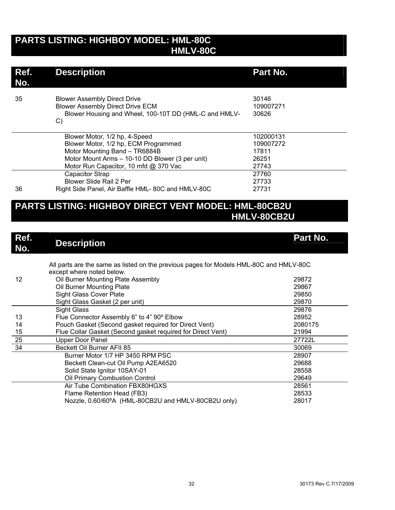## **PARTS LISTING: HIGHBOY MODEL: HML-80C HMLV-80C**

| Ref.<br>No. | <b>Description</b>                                                                                                                                                                                 | Part No.                                          |
|-------------|----------------------------------------------------------------------------------------------------------------------------------------------------------------------------------------------------|---------------------------------------------------|
| 35          | <b>Blower Assembly Direct Drive</b><br><b>Blower Assembly Direct Drive ECM</b><br>Blower Housing and Wheel, 100-10T DD (HML-C and HMLV-<br>C)                                                      | 30146<br>109007271<br>30626                       |
|             | Blower Motor, 1/2 hp, 4-Speed<br>Blower Motor, 1/2 hp, ECM Programmed<br>Motor Mounting Band - TR6884B<br>Motor Mount Arms - 10-10 DD Blower (3 per unit)<br>Motor Run Capacitor, 10 mfd @ 370 Vac | 102000131<br>109007272<br>17811<br>26251<br>27743 |
| 36          | Capacitor Strap<br><b>Blower Slide Rail 2 Per</b><br>Right Side Panel, Air Baffle HML-80C and HMLV-80C                                                                                             | 27760<br>27733<br>27731                           |

## **PARTS LISTING: HIGHBOY DIRECT VENT MODEL: HML-80CB2U HMLV-80CB2U**

| Ref.<br>No. | <b>Description</b>                                                                                                  | Part No. |
|-------------|---------------------------------------------------------------------------------------------------------------------|----------|
|             | All parts are the same as listed on the previous pages for Models HML-80C and HMLV-80C<br>except where noted below. |          |
| 12          | Oil Burner Mounting Plate Assembly                                                                                  | 29872    |
|             | Oil Burner Mounting Plate                                                                                           | 29867    |
|             | <b>Sight Glass Cover Plate</b>                                                                                      | 29850    |
|             | Sight Glass Gasket (2 per unit)                                                                                     | 29870    |
|             | Sight Glass                                                                                                         | 29876    |
| 13          | Flue Connector Assembly 6" to 4" 90° Elbow                                                                          | 28952    |
| 14          | Pouch Gasket (Second gasket required for Direct Vent)                                                               | 2080175  |
| 15          | Flue Collar Gasket (Second gasket required for Direct Vent)                                                         | 21994    |
| 25          | Upper Door Panel                                                                                                    | 27722L   |
| 34          | Beckett Oil Burner AFII 85                                                                                          | 30069    |
|             | Burner Motor 1/7 HP 3450 RPM PSC                                                                                    | 28907    |
|             | Beckett Clean-cut Oil Pump A2EA6520                                                                                 | 29688    |
|             | Solid State Ignitor 10SAY-01                                                                                        | 28558    |
|             | Oil Primary Combustion Control                                                                                      | 29649    |
|             | Air Tube Combination FBX80HGXS                                                                                      | 28561    |
|             | Flame Retention Head (FB3)                                                                                          | 28533    |
|             | Nozzle, 0.60/60°A (HML-80CB2U and HMLV-80CB2U only)                                                                 | 28017    |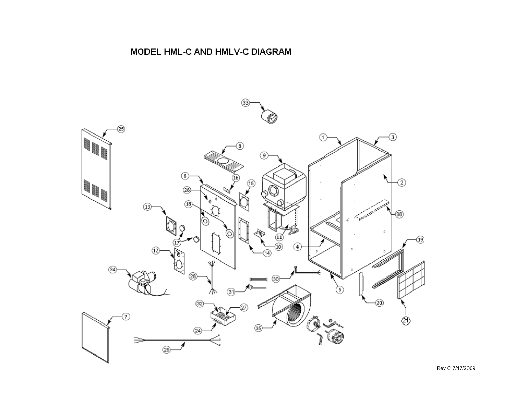# MODEL HML-C AND HMLV-C DIAGRAM